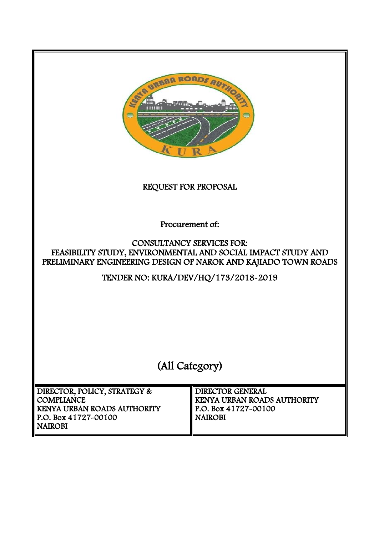

REQUEST FOR PROPOSAL

Procurement of:

## CONSULTANCY SERVICES FOR: FEASIBILITY STUDY, ENVIRONMENTAL AND SOCIAL IMPACT STUDY AND PRELIMINARY ENGINEERING DESIGN OF NAROK AND KAJIADO TOWN ROADS

TENDER NO: KURA/DEV/HQ/173/2018-2019

(All Category)

 DIRECTOR, POLICY, STRATEGY & **COMPLIANCE** KENYA URBAN ROADS AUTHORITY P.O. Box 41727-00100 NAIROBI DIRECTOR GENERAL KENYA URBAN ROADS AUTHORITY P.O. Box 41727-00100 NAIROBI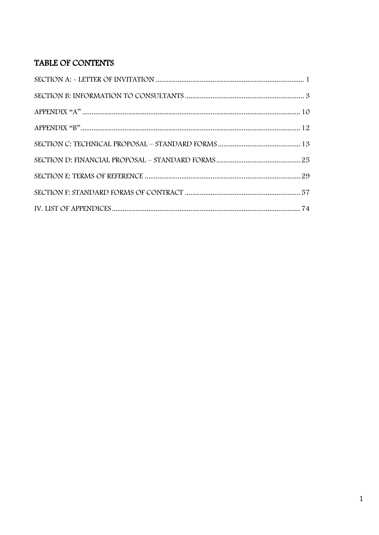# TABLE OF CONTENTS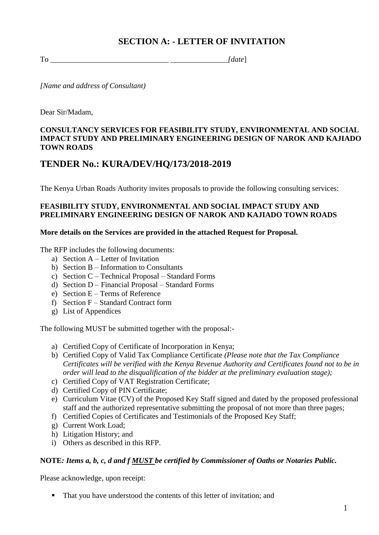## **SECTION A: - LETTER OF INVITATION**

<span id="page-2-0"></span>To \_\_\_\_\_\_\_\_\_\_\_\_\_\_\_\_\_\_\_\_\_\_\_\_\_\_\_\_\_\_\_ *\_\_\_\_\_\_\_\_\_\_\_\_\_\_\_[date*]

*[Name and address of Consultant)*

Dear Sir/Madam,

## **CONSULTANCY SERVICES FOR FEASIBILITY STUDY, ENVIRONMENTAL AND SOCIAL IMPACT STUDY AND PRELIMINARY ENGINEERING DESIGN OF NAROK AND KAJIADO TOWN ROADS**

## **TENDER No.: KURA/DEV/HQ/173/2018-2019**

The Kenya Urban Roads Authority invites proposals to provide the following consulting services:

## **FEASIBILITY STUDY, ENVIRONMENTAL AND SOCIAL IMPACT STUDY AND PRELIMINARY ENGINEERING DESIGN OF NAROK AND KAJIADO TOWN ROADS**

#### **More details on the Services are provided in the attached Request for Proposal.**

The RFP includes the following documents:

- a) Section A Letter of Invitation
- b) Section B Information to Consultants
- c) Section C Technical Proposal Standard Forms
- d) Section D Financial Proposal Standard Forms
- e) Section E Terms of Reference
- f) Section F Standard Contract form
- g) List of Appendices

The following MUST be submitted together with the proposal:-

- a) Certified Copy of Certificate of Incorporation in Kenya;
- b) Certified Copy of Valid Tax Compliance Certificate *(Please note that the Tax Compliance Certificates will be verified with the Kenya Revenue Authority and Certificates found not to be in order will lead to the disqualification of the bidder at the preliminary evaluation stage);*
- c) Certified Copy of VAT Registration Certificate;
- d) Certified Copy of PIN Certificate;
- e) Curriculum Vitae (CV) of the Proposed Key Staff signed and dated by the proposed professional staff and the authorized representative submitting the proposal of not more than three pages;
- f) Certified Copies of Certificates and Testimonials of the Proposed Key Staff;
- g) Current Work Load;
- h) Litigation History; and
- i) Others as described in this RFP.

## **NOTE***: Items a, b, c, d and f MUST be certified by Commissioner of Oaths or Notaries Public.*

Please acknowledge, upon receipt:

■ That you have understood the contents of this letter of invitation; and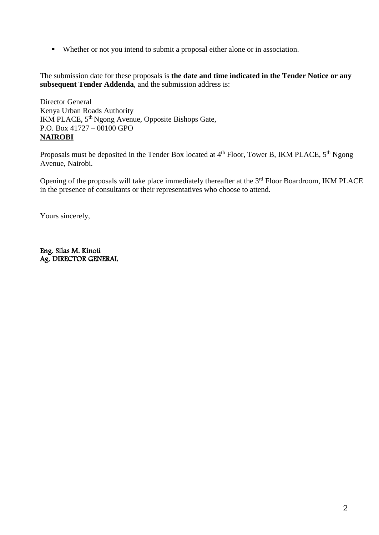Whether or not you intend to submit a proposal either alone or in association.

The submission date for these proposals is **the date and time indicated in the Tender Notice or any subsequent Tender Addenda**, and the submission address is:

Director General Kenya Urban Roads Authority IKM PLACE, 5<sup>th</sup> Ngong Avenue, Opposite Bishops Gate, P.O. Box 41727 – 00100 GPO **NAIROBI**

Proposals must be deposited in the Tender Box located at 4<sup>th</sup> Floor, Tower B, IKM PLACE, 5<sup>th</sup> Ngong Avenue, Nairobi.

Opening of the proposals will take place immediately thereafter at the 3<sup>rd</sup> Floor Boardroom, IKM PLACE in the presence of consultants or their representatives who choose to attend.

Yours sincerely,

Eng. Silas M. Kinoti Ag. DIRECTOR GENERAL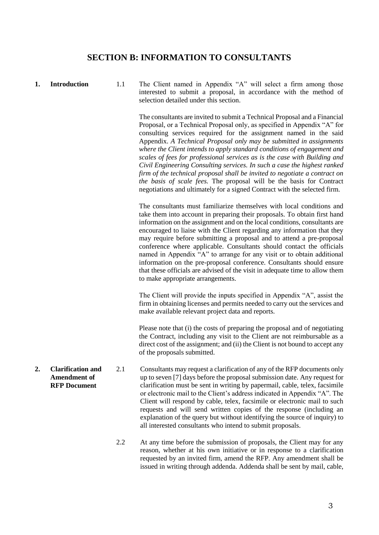## **SECTION B: INFORMATION TO CONSULTANTS**

<span id="page-4-0"></span>**1. Introduction** 1.1 The Client named in Appendix "A" will select a firm among those interested to submit a proposal, in accordance with the method of selection detailed under this section.

> The consultants are invited to submit a Technical Proposal and a Financial Proposal, or a Technical Proposal only, as specified in Appendix "A" for consulting services required for the assignment named in the said Appendix. *A Technical Proposal only may be submitted in assignments where the Client intends to apply standard conditions of engagement and scales of fees for professional services as is the case with Building and Civil Engineering Consulting services. In such a case the highest ranked firm of the technical proposal shall be invited to negotiate a contract on the basis of scale fees.* The proposal will be the basis for Contract negotiations and ultimately for a signed Contract with the selected firm.

> The consultants must familiarize themselves with local conditions and take them into account in preparing their proposals. To obtain first hand information on the assignment and on the local conditions, consultants are encouraged to liaise with the Client regarding any information that they may require before submitting a proposal and to attend a pre-proposal conference where applicable. Consultants should contact the officials named in Appendix "A" to arrange for any visit or to obtain additional information on the pre-proposal conference. Consultants should ensure that these officials are advised of the visit in adequate time to allow them to make appropriate arrangements.

> The Client will provide the inputs specified in Appendix "A", assist the firm in obtaining licenses and permits needed to carry out the services and make available relevant project data and reports.

> Please note that (i) the costs of preparing the proposal and of negotiating the Contract, including any visit to the Client are not reimbursable as a direct cost of the assignment; and (ii) the Client is not bound to accept any of the proposals submitted.

- **Amendment of RFP Document** 2.1 Consultants may request a clarification of any of the RFP documents only up to seven [7] days before the proposal submission date. Any request for clarification must be sent in writing by papermail, cable, telex, facsimile or electronic mail to the Client's address indicated in Appendix "A". The Client will respond by cable, telex, facsimile or electronic mail to such requests and will send written copies of the response (including an explanation of the query but without identifying the source of inquiry) to all interested consultants who intend to submit proposals.
	- 2.2 At any time before the submission of proposals, the Client may for any reason, whether at his own initiative or in response to a clarification requested by an invited firm, amend the RFP. Any amendment shall be issued in writing through addenda. Addenda shall be sent by mail, cable,

**2. Clarification and**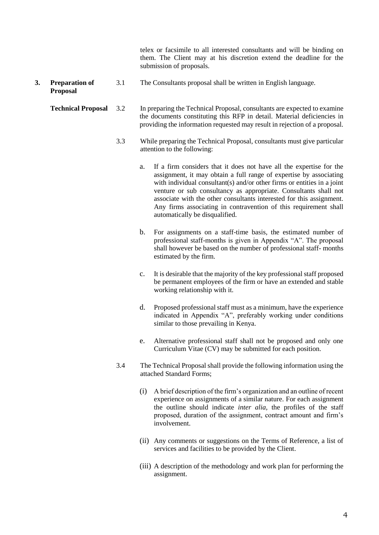telex or facsimile to all interested consultants and will be binding on them. The Client may at his discretion extend the deadline for the submission of proposals.

**3. Preparation of**  3.1 The Consultants proposal shall be written in English language.

**Proposal** 

- **Technical Proposal** 3.2 In preparing the Technical Proposal, consultants are expected to examine the documents constituting this RFP in detail. Material deficiencies in providing the information requested may result in rejection of a proposal.
	- 3.3 While preparing the Technical Proposal, consultants must give particular attention to the following:
		- a. If a firm considers that it does not have all the expertise for the assignment, it may obtain a full range of expertise by associating with individual consultant(s) and/or other firms or entities in a joint venture or sub consultancy as appropriate. Consultants shall not associate with the other consultants interested for this assignment. Any firms associating in contravention of this requirement shall automatically be disqualified.
		- b. For assignments on a staff-time basis, the estimated number of professional staff-months is given in Appendix "A". The proposal shall however be based on the number of professional staff- months estimated by the firm.
		- c. It is desirable that the majority of the key professional staff proposed be permanent employees of the firm or have an extended and stable working relationship with it.
		- d. Proposed professional staff must as a minimum, have the experience indicated in Appendix "A", preferably working under conditions similar to those prevailing in Kenya.
		- e. Alternative professional staff shall not be proposed and only one Curriculum Vitae (CV) may be submitted for each position.
	- 3.4 The Technical Proposal shall provide the following information using the attached Standard Forms;
		- (i) A brief description of the firm's organization and an outline of recent experience on assignments of a similar nature. For each assignment the outline should indicate *inter alia,* the profiles of the staff proposed, duration of the assignment, contract amount and firm's involvement.
		- (ii) Any comments or suggestions on the Terms of Reference, a list of services and facilities to be provided by the Client.
		- (iii) A description of the methodology and work plan for performing the assignment.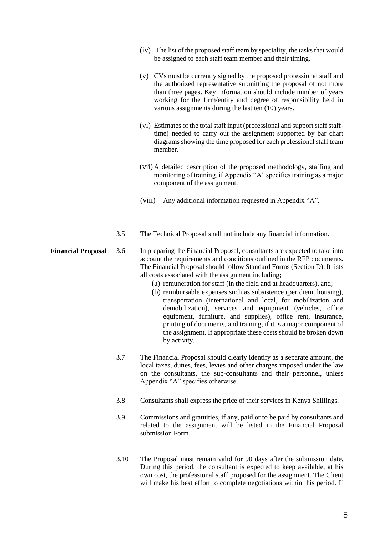- (iv) The list of the proposed staff team by speciality, the tasks that would be assigned to each staff team member and their timing.
- (v) CVs must be currently signed by the proposed professional staff and the authorized representative submitting the proposal of not more than three pages. Key information should include number of years working for the firm/entity and degree of responsibility held in various assignments during the last ten (10) years.
- (vi) Estimates of the total staff input (professional and support staff stafftime) needed to carry out the assignment supported by bar chart diagrams showing the time proposed for each professional staff team member.
- (vii) A detailed description of the proposed methodology, staffing and monitoring of training, if Appendix "A" specifies training as a major component of the assignment.
- (viii) Any additional information requested in Appendix "A".
- 3.5 The Technical Proposal shall not include any financial information.

#### **Financial Proposal** 3.6 In preparing the Financial Proposal, consultants are expected to take into account the requirements and conditions outlined in the RFP documents. The Financial Proposal should follow Standard Forms (Section D). It lists all costs associated with the assignment including;

- (a) remuneration for staff (in the field and at headquarters), and;
- (b) reimbursable expenses such as subsistence (per diem, housing), transportation (international and local, for mobilization and demobilization), services and equipment (vehicles, office equipment, furniture, and supplies), office rent, insurance, printing of documents, and training, if it is a major component of the assignment. If appropriate these costs should be broken down by activity.
- 3.7 The Financial Proposal should clearly identify as a separate amount, the local taxes, duties, fees, levies and other charges imposed under the law on the consultants, the sub-consultants and their personnel, unless Appendix "A" specifies otherwise.
- 3.8 Consultants shall express the price of their services in Kenya Shillings.
- 3.9 Commissions and gratuities, if any, paid or to be paid by consultants and related to the assignment will be listed in the Financial Proposal submission Form.
- 3.10 The Proposal must remain valid for 90 days after the submission date. During this period, the consultant is expected to keep available, at his own cost, the professional staff proposed for the assignment. The Client will make his best effort to complete negotiations within this period. If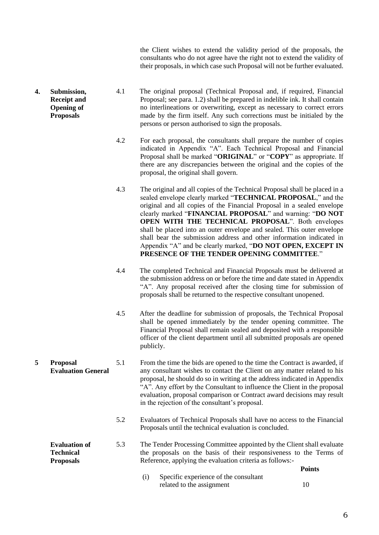the Client wishes to extend the validity period of the proposals, the consultants who do not agree have the right not to extend the validity of their proposals, in which case such Proposal will not be further evaluated.

- **4. Submission, Receipt and Opening of Proposals** 4.1 The original proposal (Technical Proposal and, if required, Financial Proposal; see para. 1.2) shall be prepared in indelible ink. It shall contain no interlineations or overwriting, except as necessary to correct errors made by the firm itself. Any such corrections must be initialed by the persons or person authorised to sign the proposals.
	- 4.2 For each proposal, the consultants shall prepare the number of copies indicated in Appendix "A". Each Technical Proposal and Financial Proposal shall be marked "**ORIGINAL**" or "**COPY**" as appropriate. If there are any discrepancies between the original and the copies of the proposal, the original shall govern.
	- 4.3 The original and all copies of the Technical Proposal shall be placed in a sealed envelope clearly marked "**TECHNICAL PROPOSAL**," and the original and all copies of the Financial Proposal in a sealed envelope clearly marked "**FINANCIAL PROPOSAL**" and warning: "**DO NOT OPEN WITH THE TECHNICAL PROPOSAL**". Both envelopes shall be placed into an outer envelope and sealed. This outer envelope shall bear the submission address and other information indicated in Appendix "A" and be clearly marked, "**DO NOT OPEN, EXCEPT IN PRESENCE OF THE TENDER OPENING COMMITTEE**."
	- 4.4 The completed Technical and Financial Proposals must be delivered at the submission address on or before the time and date stated in Appendix "A". Any proposal received after the closing time for submission of proposals shall be returned to the respective consultant unopened.
	- 4.5 After the deadline for submission of proposals, the Technical Proposal shall be opened immediately by the tender opening committee. The Financial Proposal shall remain sealed and deposited with a responsible officer of the client department until all submitted proposals are opened publicly.
	- 5.1 From the time the bids are opened to the time the Contract is awarded, if any consultant wishes to contact the Client on any matter related to his proposal, he should do so in writing at the address indicated in Appendix "A". Any effort by the Consultant to influence the Client in the proposal evaluation, proposal comparison or Contract award decisions may result in the rejection of the consultant's proposal.
		- 5.2 Evaluators of Technical Proposals shall have no access to the Financial Proposals until the technical evaluation is concluded.
	- **Evaluation of Technical Proposals** 5.3 The Tender Processing Committee appointed by the Client shall evaluate the proposals on the basis of their responsiveness to the Terms of Reference, applying the evaluation criteria as follows:- **Points**
		- (i) Specific experience of the consultant related to the assignment 10

**5 Proposal Evaluation General**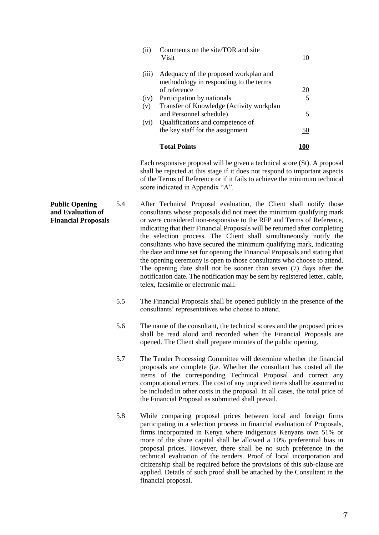| (ii)  | Comments on the site/TOR and site<br>Visit                            | 10         |
|-------|-----------------------------------------------------------------------|------------|
| (111) | Adequacy of the proposed workplan and                                 |            |
|       | methodology in responding to the terms                                |            |
|       | of reference                                                          | 20         |
| (iv)  | Participation by nationals                                            | 5          |
| (v)   | Transfer of Knowledge (Activity workplan                              |            |
|       | and Personnel schedule)                                               | 5          |
| (vi)  | Qualifications and competence of                                      |            |
|       | the key staff for the assignment                                      | <u>50</u>  |
|       | <b>Total Points</b>                                                   | <b>100</b> |
|       | Each responsive proposal will be given a technical score $(St)$ . A p |            |

proposal shall be rejected at this stage if it does not respond to important aspects of the Terms of Reference or if it fails to achieve the minimum technical score indicated in Appendix "A".

- **Public Opening and Evaluation of Financial Proposals** 5.4 After Technical Proposal evaluation, the Client shall notify those consultants whose proposals did not meet the minimum qualifying mark or were considered non-responsive to the RFP and Terms of Reference, indicating that their Financial Proposals will be returned after completing the selection process. The Client shall simultaneously notify the consultants who have secured the minimum qualifying mark, indicating the date and time set for opening the Financial Proposals and stating that the opening ceremony is open to those consultants who choose to attend. The opening date shall not be sooner than seven (7) days after the notification date. The notification may be sent by registered letter, cable, telex, facsimile or electronic mail.
	- 5.5 The Financial Proposals shall be opened publicly in the presence of the consultants' representatives who choose to attend.
	- 5.6 The name of the consultant, the technical scores and the proposed prices shall be read aloud and recorded when the Financial Proposals are opened. The Client shall prepare minutes of the public opening.
	- 5.7 The Tender Processing Committee will determine whether the financial proposals are complete (i.e. Whether the consultant has costed all the items of the corresponding Technical Proposal and correct any computational errors. The cost of any unpriced items shall be assumed to be included in other costs in the proposal. In all cases, the total price of the Financial Proposal as submitted shall prevail.
	- 5.8 While comparing proposal prices between local and foreign firms participating in a selection process in financial evaluation of Proposals, firms incorporated in Kenya where indigenous Kenyans own 51% or more of the share capital shall be allowed a 10% preferential bias in proposal prices. However, there shall be no such preference in the technical evaluation of the tenders. Proof of local incorporation and citizenship shall be required before the provisions of this sub-clause are applied. Details of such proof shall be attached by the Consultant in the financial proposal.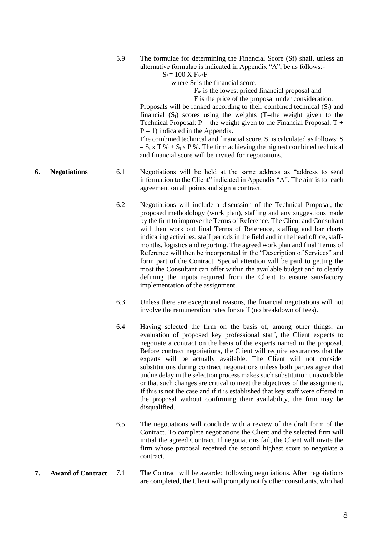5.9 The formulae for determining the Financial Score (Sf) shall, unless an alternative formulae is indicated in Appendix "A", be as follows:-

 $S_f = 100$  X  $F_M/F$ 

where  $S_f$  is the financial score;

 $F<sub>m</sub>$  is the lowest priced financial proposal and

F is the price of the proposal under consideration.

Proposals will be ranked according to their combined technical  $(S_t)$  and financial  $(S_f)$  scores using the weights (T=the weight given to the Technical Proposal:  $P =$  the weight given to the Financial Proposal:  $T +$  $P = 1$ ) indicated in the Appendix.

The combined technical and financial score, S, is calculated as follows: S  $= S_t x T \% + S_f x P \%$ . The firm achieving the highest combined technical and financial score will be invited for negotiations.

- **6. Negotiations** 6.1 Negotiations will be held at the same address as "address to send information to the Client" indicated in Appendix "A". The aim is to reach agreement on all points and sign a contract.
	- 6.2 Negotiations will include a discussion of the Technical Proposal, the proposed methodology (work plan), staffing and any suggestions made by the firm to improve the Terms of Reference. The Client and Consultant will then work out final Terms of Reference, staffing and bar charts indicating activities, staff periods in the field and in the head office, staffmonths, logistics and reporting. The agreed work plan and final Terms of Reference will then be incorporated in the "Description of Services" and form part of the Contract. Special attention will be paid to getting the most the Consultant can offer within the available budget and to clearly defining the inputs required from the Client to ensure satisfactory implementation of the assignment.
	- 6.3 Unless there are exceptional reasons, the financial negotiations will not involve the remuneration rates for staff (no breakdown of fees).
	- 6.4 Having selected the firm on the basis of, among other things, an evaluation of proposed key professional staff, the Client expects to negotiate a contract on the basis of the experts named in the proposal. Before contract negotiations, the Client will require assurances that the experts will be actually available. The Client will not consider substitutions during contract negotiations unless both parties agree that undue delay in the selection process makes such substitution unavoidable or that such changes are critical to meet the objectives of the assignment. If this is not the case and if it is established that key staff were offered in the proposal without confirming their availability, the firm may be disqualified.
	- 6.5 The negotiations will conclude with a review of the draft form of the Contract. To complete negotiations the Client and the selected firm will initial the agreed Contract. If negotiations fail, the Client will invite the firm whose proposal received the second highest score to negotiate a contract.
- **7. Award of Contract** 7.1 The Contract will be awarded following negotiations. After negotiations are completed, the Client will promptly notify other consultants, who had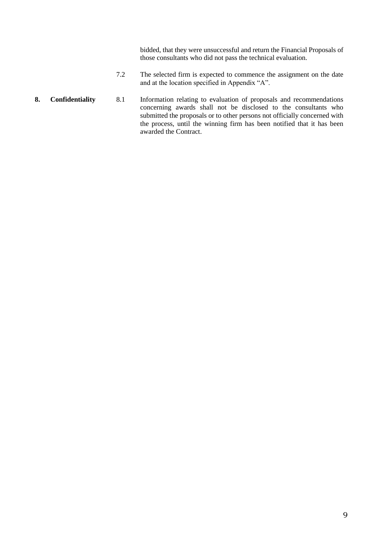bidded, that they were unsuccessful and return the Financial Proposals of those consultants who did not pass the technical evaluation.

- 7.2 The selected firm is expected to commence the assignment on the date and at the location specified in Appendix "A".
- **8. Confidentiality** 8.1 Information relating to evaluation of proposals and recommendations concerning awards shall not be disclosed to the consultants who submitted the proposals or to other persons not officially concerned with the process, until the winning firm has been notified that it has been awarded the Contract.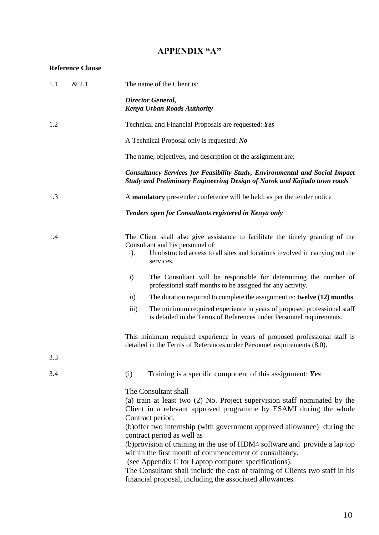## **APPENDIX "A"**

## <span id="page-11-0"></span>**Reference Clause**

| 1.1 | & 2.1 | The name of the Client is:                                                                                                                                                                                                                                                                                                                                                                                                                                                                                                                                                                                                                        |
|-----|-------|---------------------------------------------------------------------------------------------------------------------------------------------------------------------------------------------------------------------------------------------------------------------------------------------------------------------------------------------------------------------------------------------------------------------------------------------------------------------------------------------------------------------------------------------------------------------------------------------------------------------------------------------------|
|     |       | <b>Director General,</b><br><b>Kenya Urban Roads Authority</b>                                                                                                                                                                                                                                                                                                                                                                                                                                                                                                                                                                                    |
| 1.2 |       | Technical and Financial Proposals are requested: Yes                                                                                                                                                                                                                                                                                                                                                                                                                                                                                                                                                                                              |
|     |       | A Technical Proposal only is requested: No                                                                                                                                                                                                                                                                                                                                                                                                                                                                                                                                                                                                        |
|     |       | The name, objectives, and description of the assignment are:                                                                                                                                                                                                                                                                                                                                                                                                                                                                                                                                                                                      |
|     |       | <b>Consultancy Services for Feasibility Study, Environmental and Social Impact</b><br>Study and Preliminary Engineering Design of Narok and Kajiado town roads                                                                                                                                                                                                                                                                                                                                                                                                                                                                                    |
| 1.3 |       | A mandatory pre-tender conference will be held: as per the tender notice                                                                                                                                                                                                                                                                                                                                                                                                                                                                                                                                                                          |
|     |       | Tenders open for Consultants registered in Kenya only                                                                                                                                                                                                                                                                                                                                                                                                                                                                                                                                                                                             |
| 1.4 |       | The Client shall also give assistance to facilitate the timely granting of the<br>Consultant and his personnel of:<br>Unobstructed access to all sites and locations involved in carrying out the<br>$i$ ).<br>services.                                                                                                                                                                                                                                                                                                                                                                                                                          |
|     |       | The Consultant will be responsible for determining the number of<br>$\mathbf{i}$<br>professional staff months to be assigned for any activity.                                                                                                                                                                                                                                                                                                                                                                                                                                                                                                    |
|     |       | The duration required to complete the assignment is: twelve (12) months.<br>$\rm ii)$                                                                                                                                                                                                                                                                                                                                                                                                                                                                                                                                                             |
|     |       | The minimum required experience in years of proposed professional staff<br>iii)<br>is detailed in the Terms of References under Personnel requirements.                                                                                                                                                                                                                                                                                                                                                                                                                                                                                           |
|     |       | This minimum required experience in years of proposed professional staff is<br>detailed in the Terms of References under Personnel requirements (8.0).                                                                                                                                                                                                                                                                                                                                                                                                                                                                                            |
| 3.3 |       |                                                                                                                                                                                                                                                                                                                                                                                                                                                                                                                                                                                                                                                   |
| 3.4 |       | Training is a specific component of this assignment: Yes<br>(i)                                                                                                                                                                                                                                                                                                                                                                                                                                                                                                                                                                                   |
|     |       | The Consultant shall<br>(a) train at least two (2) No. Project supervision staff nominated by the<br>Client in a relevant approved programme by ESAMI during the whole<br>Contract period,<br>(b) offer two internship (with government approved allowance) during the<br>contract period as well as<br>(b)provision of training in the use of HDM4 software and provide a lap top<br>within the first month of commencement of consultancy.<br>(see Appendix C for Laptop computer specifications).<br>The Consultant shall include the cost of training of Clients two staff in his<br>financial proposal, including the associated allowances. |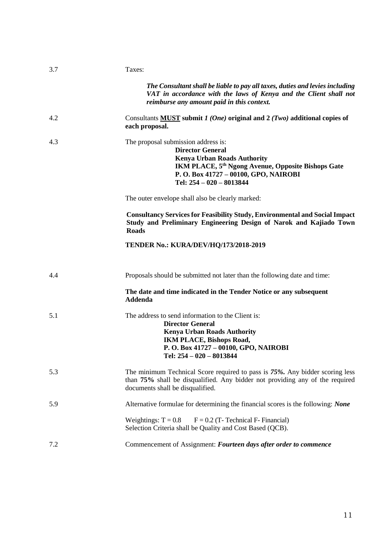<span id="page-12-0"></span>

| 3.7 | Taxes:                                                                                                                                                                                                                                     |
|-----|--------------------------------------------------------------------------------------------------------------------------------------------------------------------------------------------------------------------------------------------|
|     | The Consultant shall be liable to pay all taxes, duties and levies including<br>VAT in accordance with the laws of Kenya and the Client shall not<br>reimburse any amount paid in this context.                                            |
| 4.2 | Consultants MUST submit $1 (One)$ original and $2 (Two)$ additional copies of<br>each proposal.                                                                                                                                            |
| 4.3 | The proposal submission address is:<br><b>Director General</b><br><b>Kenya Urban Roads Authority</b><br>IKM PLACE, 5 <sup>th</sup> Ngong Avenue, Opposite Bishops Gate<br>P.O. Box 41727 - 00100, GPO, NAIROBI<br>Tel: 254 - 020 - 8013844 |
|     | The outer envelope shall also be clearly marked:                                                                                                                                                                                           |
|     | <b>Consultancy Services for Feasibility Study, Environmental and Social Impact</b><br>Study and Preliminary Engineering Design of Narok and Kajiado Town<br><b>Roads</b>                                                                   |
|     | <b>TENDER No.: KURA/DEV/HQ/173/2018-2019</b>                                                                                                                                                                                               |
| 4.4 | Proposals should be submitted not later than the following date and time:                                                                                                                                                                  |
|     | The date and time indicated in the Tender Notice or any subsequent<br><b>Addenda</b>                                                                                                                                                       |
| 5.1 | The address to send information to the Client is:<br><b>Director General</b><br><b>Kenya Urban Roads Authority</b><br><b>IKM PLACE, Bishops Road,</b><br>P.O. Box 41727 - 00100, GPO, NAIROBI<br>Tel: 254 - 020 - 8013844                  |
| 5.3 | The minimum Technical Score required to pass is 75%. Any bidder scoring less<br>than 75% shall be disqualified. Any bidder not providing any of the required<br>documents shall be disqualified.                                           |
| 5.9 | Alternative formulae for determining the financial scores is the following: None                                                                                                                                                           |
|     | Weightings: $T = 0.8$<br>$F = 0.2$ (T-Technical F-Financial)<br>Selection Criteria shall be Quality and Cost Based (QCB).                                                                                                                  |
| 7.2 | Commencement of Assignment: Fourteen days after order to commence                                                                                                                                                                          |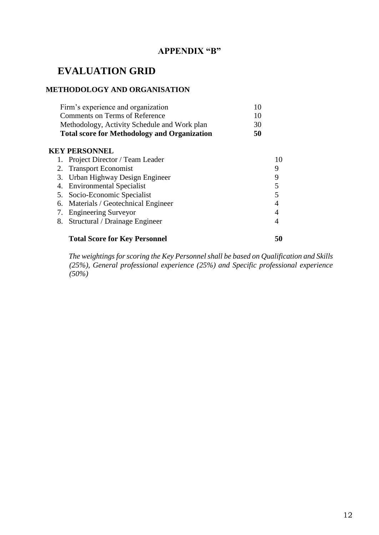## **APPENDIX "B"**

# **EVALUATION GRID**

## **METHODOLOGY AND ORGANISATION**

| Firm's experience and organization                  |    |
|-----------------------------------------------------|----|
| Comments on Terms of Reference                      | 10 |
| Methodology, Activity Schedule and Work plan        | 30 |
| <b>Total score for Methodology and Organization</b> | 50 |
| <b>KEY PERSONNEL</b>                                |    |

| 1. Project Director / Team Leader    |    |
|--------------------------------------|----|
| 2. Transport Economist               | 9  |
| 3. Urban Highway Design Engineer     | 9  |
| 4. Environmental Specialist          |    |
| 5. Socio-Economic Specialist         |    |
| 6. Materials / Geotechnical Engineer | 4  |
| 7. Engineering Surveyor              | 4  |
| 8. Structural / Drainage Engineer    |    |
| <b>Total Score for Key Personnel</b> | 50 |

*The weightings for scoring the Key Personnel shall be based on Qualification and Skills (25%), General professional experience (25%) and Specific professional experience (50%)*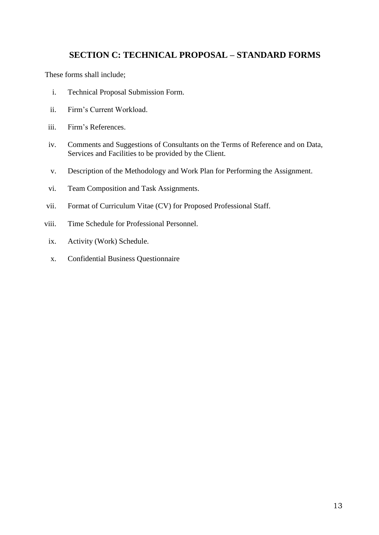## <span id="page-14-0"></span>**SECTION C: TECHNICAL PROPOSAL – STANDARD FORMS**

These forms shall include;

- i. Technical Proposal Submission Form.
- ii. Firm's Current Workload.
- iii. Firm's References.
- iv. Comments and Suggestions of Consultants on the Terms of Reference and on Data, Services and Facilities to be provided by the Client.
- v. Description of the Methodology and Work Plan for Performing the Assignment.
- vi. Team Composition and Task Assignments.
- vii. Format of Curriculum Vitae (CV) for Proposed Professional Staff.
- viii. Time Schedule for Professional Personnel.
	- ix. Activity (Work) Schedule.
	- x. Confidential Business Questionnaire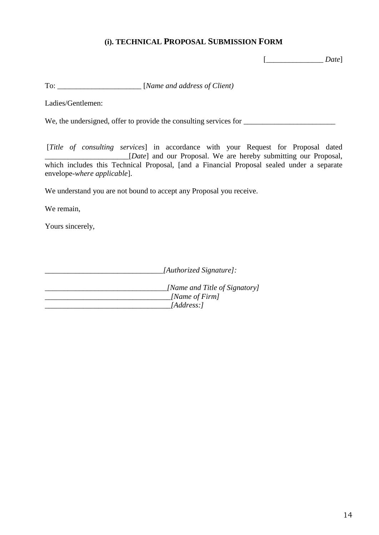## **(i). TECHNICAL PROPOSAL SUBMISSION FORM**

[\_\_\_\_\_\_\_\_\_\_\_\_\_\_\_ *Date*]

To:  $[Name \ and \ address \ of \ Client]$ 

Ladies/Gentlemen:

We, the undersigned, offer to provide the consulting services for \_\_\_\_\_\_\_\_\_\_\_\_\_\_

[*Title of consulting services*] in accordance with your Request for Proposal dated \_\_\_\_\_\_\_\_\_\_\_\_\_\_\_\_\_\_\_\_\_\_[*Date*] and our Proposal. We are hereby submitting our Proposal, which includes this Technical Proposal, [and a Financial Proposal sealed under a separate envelope-*where applicable*].

We understand you are not bound to accept any Proposal you receive.

We remain,

Yours sincerely,

*\_\_\_\_\_\_\_\_\_\_\_\_\_\_\_\_\_\_\_\_\_\_\_\_\_\_\_\_\_\_\_[Authorized Signature]:*

*\_\_\_\_\_\_\_\_\_\_\_\_\_\_\_\_\_\_\_\_\_\_\_\_\_\_\_\_\_\_\_\_[Name and Title of Signatory] \_\_\_\_\_\_\_\_\_\_\_\_\_\_\_\_\_\_\_\_\_\_\_\_\_\_\_\_\_\_\_\_\_[Name of Firm] \_\_\_\_\_\_\_\_\_\_\_\_\_\_\_\_\_\_\_\_\_\_\_\_\_\_\_\_\_\_\_\_\_[Address:]*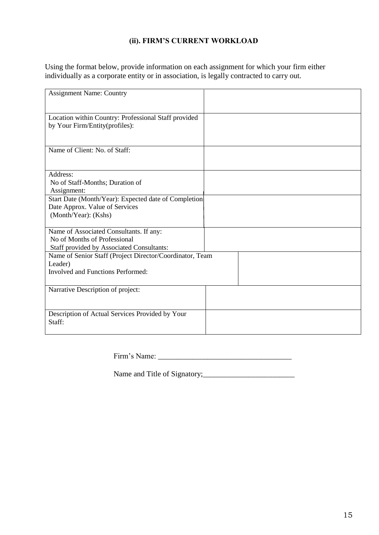## **(ii). FIRM'S CURRENT WORKLOAD**

Using the format below, provide information on each assignment for which your firm either individually as a corporate entity or in association, is legally contracted to carry out.

| <b>Assignment Name: Country</b>                          |  |
|----------------------------------------------------------|--|
|                                                          |  |
|                                                          |  |
| Location within Country: Professional Staff provided     |  |
| by Your Firm/Entity(profiles):                           |  |
|                                                          |  |
|                                                          |  |
| Name of Client: No. of Staff:                            |  |
|                                                          |  |
|                                                          |  |
| Address:                                                 |  |
| No of Staff-Months; Duration of                          |  |
|                                                          |  |
| Assignment:                                              |  |
| Start Date (Month/Year): Expected date of Completion     |  |
| Date Approx. Value of Services                           |  |
| (Month/Year): (Kshs)                                     |  |
|                                                          |  |
| Name of Associated Consultants. If any:                  |  |
| No of Months of Professional                             |  |
| Staff provided by Associated Consultants:                |  |
| Name of Senior Staff (Project Director/Coordinator, Team |  |
| Leader)                                                  |  |
| Involved and Functions Performed:                        |  |
|                                                          |  |
| Narrative Description of project:                        |  |
|                                                          |  |
|                                                          |  |
| Description of Actual Services Provided by Your          |  |
|                                                          |  |
| Staff:                                                   |  |
|                                                          |  |

Firm's Name: \_\_\_\_\_\_\_\_\_\_\_\_\_\_\_\_\_\_\_\_\_\_\_\_\_\_\_\_\_\_\_\_\_\_\_

Name and Title of Signatory;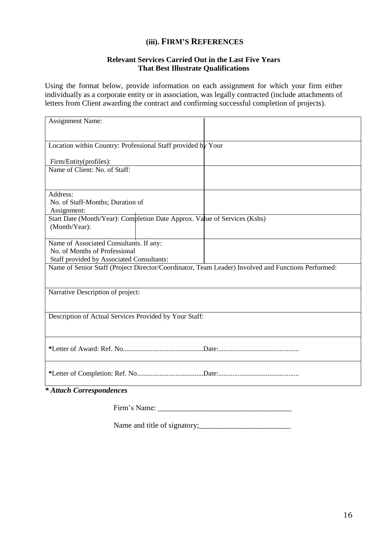## **(iii). FIRM'S REFERENCES**

#### **Relevant Services Carried Out in the Last Five Years That Best Illustrate Qualifications**

Using the format below, provide information on each assignment for which your firm either individually as a corporate entity or in association, was legally contracted (include attachments of letters from Client awarding the contract and confirming successful completion of projects).

| <b>Assignment Name:</b>                                                                            |  |
|----------------------------------------------------------------------------------------------------|--|
|                                                                                                    |  |
| Location within Country: Professional Staff provided by Your                                       |  |
| Firm/Entity(profiles):                                                                             |  |
| Name of Client: No. of Staff:                                                                      |  |
|                                                                                                    |  |
| Address:                                                                                           |  |
| No. of Staff-Months; Duration of<br>Assignment:                                                    |  |
| Start Date (Month/Year): Completion Date Approx. Value of Services (Kshs)                          |  |
| (Month/Year):                                                                                      |  |
| Name of Associated Consultants. If any:                                                            |  |
| No. of Months of Professional<br>Staff provided by Associated Consultants:                         |  |
| Name of Senior Staff (Project Director/Coordinator, Team Leader) Involved and Functions Performed: |  |
|                                                                                                    |  |
| Narrative Description of project:                                                                  |  |
|                                                                                                    |  |
| Description of Actual Services Provided by Your Staff:                                             |  |
|                                                                                                    |  |
|                                                                                                    |  |
|                                                                                                    |  |
|                                                                                                    |  |
|                                                                                                    |  |
| * Attach Correspondences                                                                           |  |

Firm's Name: \_\_\_\_\_\_\_\_\_\_\_\_\_\_\_\_\_\_\_\_\_\_\_\_\_\_\_\_\_\_\_\_\_\_\_

Name and title of signatory;\_\_\_\_\_\_\_\_\_\_\_\_\_\_\_\_\_\_\_\_\_\_\_\_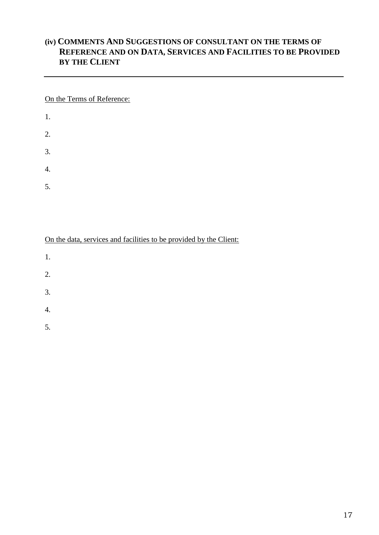## **(iv) COMMENTS AND SUGGESTIONS OF CONSULTANT ON THE TERMS OF REFERENCE AND ON DATA, SERVICES AND FACILITIES TO BE PROVIDED BY THE CLIENT**

On the Terms of Reference:

- 1.
- 2.
- 3.
- 4.
- 
- 5.

On the data, services and facilities to be provided by the Client:

- 1.
- 2.
- 
- 3.
- 4.
- 5.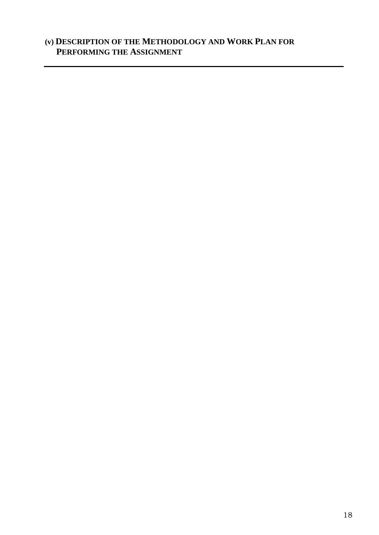# **(v) DESCRIPTION OF THE METHODOLOGY AND WORK PLAN FOR PERFORMING THE ASSIGNMENT**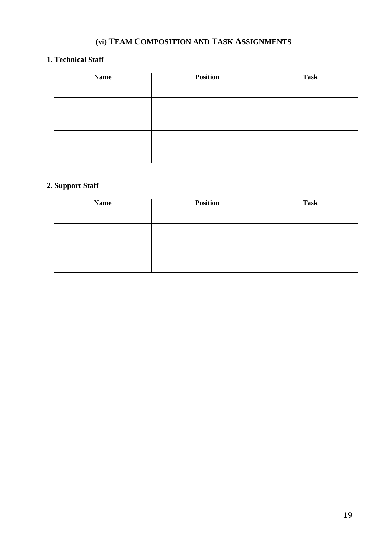# **(vi) TEAM COMPOSITION AND TASK ASSIGNMENTS**

## **1. Technical Staff**

| <b>Name</b> | <b>Position</b> | <b>Task</b> |
|-------------|-----------------|-------------|
|             |                 |             |
|             |                 |             |
|             |                 |             |
|             |                 |             |
|             |                 |             |
|             |                 |             |
|             |                 |             |
|             |                 |             |

## **2. Support Staff**

| <b>Name</b> | <b>Position</b> | <b>Task</b> |
|-------------|-----------------|-------------|
|             |                 |             |
|             |                 |             |
|             |                 |             |
|             |                 |             |
|             |                 |             |
|             |                 |             |
|             |                 |             |
|             |                 |             |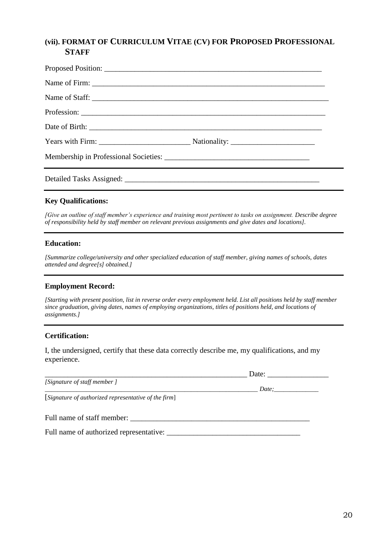## **(vii). FORMAT OF CURRICULUM VITAE (CV) FOR PROPOSED PROFESSIONAL STAFF**

| Name of Staff: |  |
|----------------|--|
|                |  |
|                |  |
|                |  |
|                |  |
|                |  |

## **Key Qualifications:**

*[Give an outline of staff member's experience and training most pertinent to tasks on assignment. Describe degree of responsibility held by staff member on relevant previous assignments and give dates and locations].*

#### **Education:**

*[Summarize college/university and other specialized education of staff member, giving names of schools, dates attended and degree[s] obtained.]*

#### **Employment Record:**

*[Starting with present position, list in reverse order every employment held. List all positions held by staff member since graduation, giving dates, names of employing organizations, titles of positions held, and locations of assignments.]*

#### **Certification:**

I, the undersigned, certify that these data correctly describe me, my qualifications, and my experience.

 $\Box$  Date:

*\_\_\_\_\_\_\_\_\_\_\_\_\_\_\_\_\_\_\_\_\_\_\_\_\_\_\_\_\_\_\_\_\_\_\_\_\_\_\_\_\_\_\_\_\_\_\_\_\_\_\_\_\_\_\_\_\_\_\_\_\_\_\_\_\_\_\_ Date;\_\_\_\_\_\_\_\_\_\_\_\_\_\_*

[*Signature of authorized representative of the firm*]

#### Full name of staff member: \_\_\_\_\_\_\_\_\_\_\_\_\_\_\_\_\_\_\_\_\_\_\_\_\_\_\_\_\_\_\_\_\_\_\_\_\_\_\_\_\_\_\_\_\_\_\_

Full name of authorized representative: \_\_\_\_\_\_\_\_\_\_\_\_\_\_\_\_\_\_\_\_\_\_\_\_\_\_\_\_\_\_\_\_\_\_\_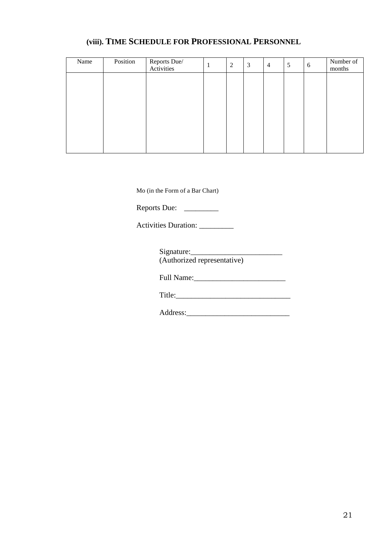## **(viii). TIME SCHEDULE FOR PROFESSIONAL PERSONNEL**

| Name | Position | Reports Due/<br>Activities | 2 | 3 | $\overline{4}$ | 5 | 6 | Number of<br>months |
|------|----------|----------------------------|---|---|----------------|---|---|---------------------|
|      |          |                            |   |   |                |   |   |                     |
|      |          |                            |   |   |                |   |   |                     |
|      |          |                            |   |   |                |   |   |                     |
|      |          |                            |   |   |                |   |   |                     |
|      |          |                            |   |   |                |   |   |                     |
|      |          |                            |   |   |                |   |   |                     |

Mo (in the Form of a Bar Chart)

Reports Due: \_\_\_\_\_\_\_\_\_\_

Activities Duration: \_\_\_\_\_\_\_\_\_

Signature:\_\_\_\_\_\_\_\_\_\_\_\_\_\_\_\_\_\_\_\_\_\_\_\_ (Authorized representative)

Full Name:

Title:\_\_\_\_\_\_\_\_\_\_\_\_\_\_\_\_\_\_\_\_\_\_\_\_\_\_\_\_\_\_

Address:\_\_\_\_\_\_\_\_\_\_\_\_\_\_\_\_\_\_\_\_\_\_\_\_\_\_\_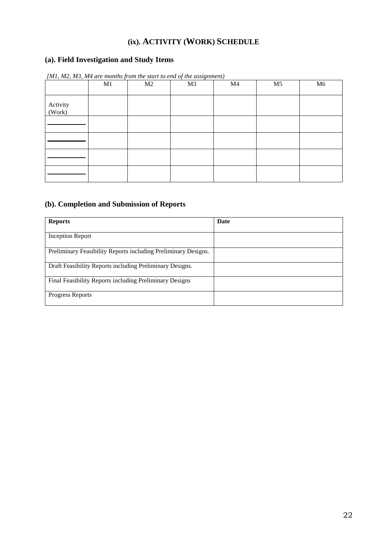# **(ix). ACTIVITY (WORK) SCHEDULE**

## **(a). Field Investigation and Study Items**

|                    | M1 | M2 | M <sub>3</sub> | M <sub>4</sub> | M <sub>5</sub> | M6 |
|--------------------|----|----|----------------|----------------|----------------|----|
| Activity<br>(Work) |    |    |                |                |                |    |
|                    |    |    |                |                |                |    |
|                    |    |    |                |                |                |    |
|                    |    |    |                |                |                |    |
|                    |    |    |                |                |                |    |

*[M1, M2, M3, M4 are months from the start to end of the assignment)*

## **(b). Completion and Submission of Reports**

| <b>Reports</b>                                                 | Date |
|----------------------------------------------------------------|------|
| Inception Report                                               |      |
| Preliminary Feasibility Reports including Preliminary Designs. |      |
| Draft Feasibility Reports including Preliminary Designs.       |      |
| Final Feasibility Reports including Preliminary Designs        |      |
| <b>Progress Reports</b>                                        |      |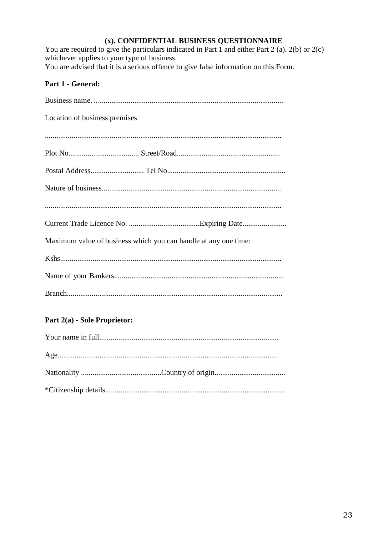## (x). CONFIDENTIAL BUSINESS QUESTIONNAIRE

You are required to give the particulars indicated in Part 1 and either Part 2 (a). 2(b) or 2(c) whichever applies to your type of business.

You are advised that it is a serious offence to give false information on this Form.

## Part 1 - General:

| Location of business premises                                   |
|-----------------------------------------------------------------|
|                                                                 |
|                                                                 |
|                                                                 |
|                                                                 |
|                                                                 |
|                                                                 |
| Maximum value of business which you can handle at any one time: |
|                                                                 |
|                                                                 |
|                                                                 |
|                                                                 |

## Part 2(a) - Sole Proprietor: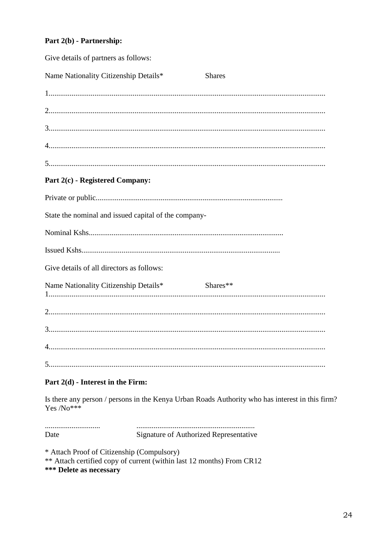## Part 2(b) - Partnership:

| Give details of partners as follows:                 |               |  |
|------------------------------------------------------|---------------|--|
| Name Nationality Citizenship Details*                | <b>Shares</b> |  |
|                                                      |               |  |
|                                                      |               |  |
|                                                      |               |  |
|                                                      |               |  |
|                                                      |               |  |
| Part 2(c) - Registered Company:                      |               |  |
|                                                      |               |  |
| State the nominal and issued capital of the company- |               |  |
|                                                      |               |  |
|                                                      |               |  |
| Give details of all directors as follows:            |               |  |
| Name Nationality Citizenship Details*                | Shares**      |  |
|                                                      |               |  |
|                                                      |               |  |
|                                                      |               |  |
|                                                      |               |  |

## Part  $2(d)$  - Interest in the Firm:

Is there any person / persons in the Kenya Urban Roads Authority who has interest in this firm?  $Yes/No***$ 

Date Signature of Authorized Representative

\* Attach Proof of Citizenship (Compulsory) \*\* Attach certified copy of current (within last 12 months) From CR12 \*\*\* Delete as necessary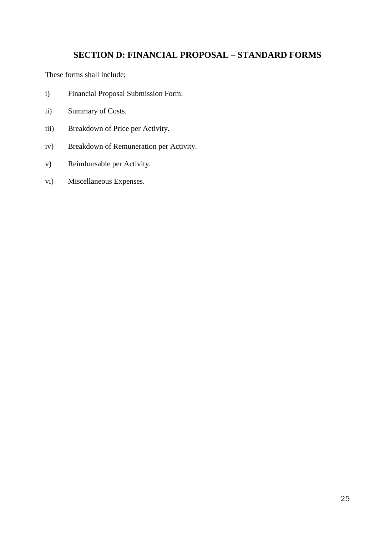## **SECTION D: FINANCIAL PROPOSAL – STANDARD FORMS**

<span id="page-26-0"></span>These forms shall include;

- i) Financial Proposal Submission Form.
- ii) Summary of Costs.
- iii) Breakdown of Price per Activity.
- iv) Breakdown of Remuneration per Activity.
- v) Reimbursable per Activity.
- vi) Miscellaneous Expenses.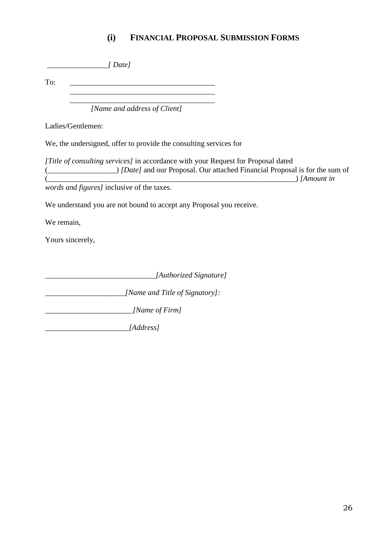# **(i) FINANCIAL PROPOSAL SUBMISSION FORMS**

|                   | $[$ Date $]$                                                                                                                                                                                                             |  |
|-------------------|--------------------------------------------------------------------------------------------------------------------------------------------------------------------------------------------------------------------------|--|
| To:               |                                                                                                                                                                                                                          |  |
|                   | [Name and address of Client]                                                                                                                                                                                             |  |
| Ladies/Gentlemen: |                                                                                                                                                                                                                          |  |
|                   | We, the undersigned, offer to provide the consulting services for                                                                                                                                                        |  |
|                   | [Title of consulting services] in accordance with your Request for Proposal dated<br>(Composed is for the sum of <i>Date]</i> and our Proposal. Our attached Financial Proposal is for the sum of<br>$\Delta$ [Amount in |  |
|                   | words and figures] inclusive of the taxes.                                                                                                                                                                               |  |
|                   | We understand you are not bound to accept any Proposal you receive.                                                                                                                                                      |  |
| We remain,        |                                                                                                                                                                                                                          |  |
| Yours sincerely,  |                                                                                                                                                                                                                          |  |
|                   | [Authorized Signature]                                                                                                                                                                                                   |  |
|                   | [Name and Title of Signatory]:                                                                                                                                                                                           |  |
|                   | [Name of Firm]                                                                                                                                                                                                           |  |
|                   | [Address]                                                                                                                                                                                                                |  |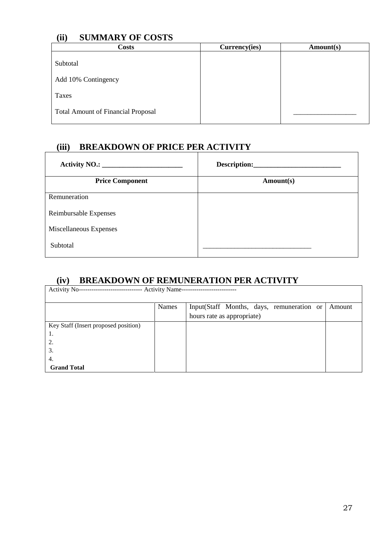## **(ii) SUMMARY OF COSTS**

| <u>.</u><br><b>Costs</b>                  | Currency(ies) | Amount(s) |
|-------------------------------------------|---------------|-----------|
| Subtotal                                  |               |           |
| Add 10% Contingency                       |               |           |
| Taxes                                     |               |           |
| <b>Total Amount of Financial Proposal</b> |               |           |

# **(iii) BREAKDOWN OF PRICE PER ACTIVITY**

| <b>Price Component</b> | Amount(s) |
|------------------------|-----------|
| Remuneration           |           |
| Reimbursable Expenses  |           |
| Miscellaneous Expenses |           |
| Subtotal               |           |

## **(iv) BREAKDOWN OF REMUNERATION PER ACTIVITY**

| <b>Activity No--</b><br>-- Activity Name--<br>---------------------- |       |                                            |        |  |  |  |
|----------------------------------------------------------------------|-------|--------------------------------------------|--------|--|--|--|
|                                                                      | Names | Input (Staff Months, days, remuneration or | Amount |  |  |  |
|                                                                      |       | hours rate as appropriate)                 |        |  |  |  |
| Key Staff (Insert proposed position)                                 |       |                                            |        |  |  |  |
| 1.                                                                   |       |                                            |        |  |  |  |
| 2.                                                                   |       |                                            |        |  |  |  |
| 3.                                                                   |       |                                            |        |  |  |  |
| 4.                                                                   |       |                                            |        |  |  |  |
| <b>Grand Total</b>                                                   |       |                                            |        |  |  |  |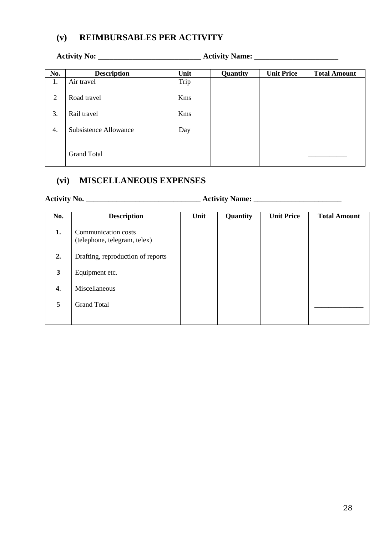## **(v) REIMBURSABLES PER ACTIVITY**

| No.            | <b>Description</b>           | Unit | Quantity | <b>Unit Price</b> | <b>Total Amount</b> |
|----------------|------------------------------|------|----------|-------------------|---------------------|
| 1.             | Air travel                   | Trip |          |                   |                     |
| $\overline{2}$ | Road travel                  | Kms  |          |                   |                     |
| 3.             | Rail travel                  | Kms  |          |                   |                     |
| 4.             | <b>Subsistence Allowance</b> | Day  |          |                   |                     |
|                | <b>Grand Total</b>           |      |          |                   |                     |

# **(vi) MISCELLANEOUS EXPENSES**

# **Activity No. \_\_\_\_\_\_\_\_\_\_\_\_\_\_\_\_\_\_\_\_\_\_\_\_\_\_\_\_\_\_ Activity Name: \_\_\_\_\_\_\_\_\_\_\_\_\_\_\_\_\_\_\_\_\_\_\_**

| No. | <b>Description</b>                                  | Unit | Quantity | <b>Unit Price</b> | <b>Total Amount</b> |
|-----|-----------------------------------------------------|------|----------|-------------------|---------------------|
| 1.  | Communication costs<br>(telephone, telegram, telex) |      |          |                   |                     |
| 2.  | Drafting, reproduction of reports                   |      |          |                   |                     |
| 3   | Equipment etc.                                      |      |          |                   |                     |
| 4.  | Miscellaneous                                       |      |          |                   |                     |
| 5   | <b>Grand Total</b>                                  |      |          |                   |                     |
|     |                                                     |      |          |                   |                     |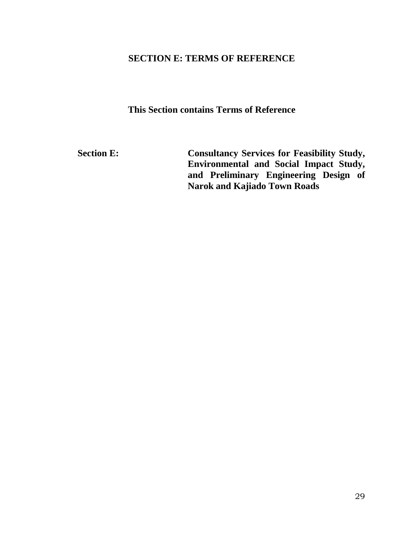## **SECTION E: TERMS OF REFERENCE**

**This Section contains Terms of Reference** 

<span id="page-30-0"></span>Section E: Consultancy Services for Feasibility Study, **Environmental and Social Impact Study, and Preliminary Engineering Design of Narok and Kajiado Town Roads**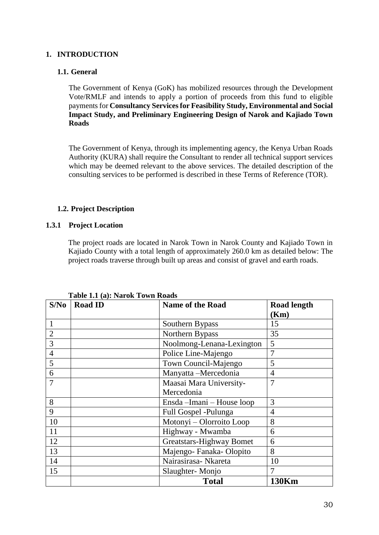#### **1. INTRODUCTION**

#### **1.1. General**

The Government of Kenya (GoK) has mobilized resources through the Development Vote/RMLF and intends to apply a portion of proceeds from this fund to eligible payments for **Consultancy Services for Feasibility Study, Environmental and Social Impact Study, and Preliminary Engineering Design of Narok and Kajiado Town Roads**

The Government of Kenya, through its implementing agency, the Kenya Urban Roads Authority (KURA) shall require the Consultant to render all technical support services which may be deemed relevant to the above services. The detailed description of the consulting services to be performed is described in these Terms of Reference (TOR).

## **1.2. Project Description**

#### **1.3.1 Project Location**

The project roads are located in Narok Town in Narok County and Kajiado Town in Kajiado County with a total length of approximately 260.0 km as detailed below: The project roads traverse through built up areas and consist of gravel and earth roads.

| S/No           | <b>Road ID</b> | <b>Name of the Road</b>   | <b>Road length</b> |
|----------------|----------------|---------------------------|--------------------|
|                |                |                           | (Km)               |
| 1              |                | Southern Bypass           | 15                 |
| $\overline{2}$ |                | Northern Bypass           | 35                 |
| 3              |                | Noolmong-Lenana-Lexington | 5                  |
| $\overline{4}$ |                | Police Line-Majengo       | 7                  |
| 5              |                | Town Council-Majengo      | 5                  |
| 6              |                | Manyatta -Mercedonia      | 4                  |
| 7              |                | Maasai Mara University-   | 7                  |
|                |                | Mercedonia                |                    |
| 8              |                | Ensda-Imani-House loop    | 3                  |
| 9              |                | Full Gospel -Pulunga      | 4                  |
| 10             |                | Motonyi - Olorroito Loop  | 8                  |
| 11             |                | Highway - Mwamba          | 6                  |
| 12             |                | Greatstars-Highway Bomet  | 6                  |
| 13             |                | Majengo-Fanaka-Olopito    | 8                  |
| 14             |                | Nairasirasa- Nkareta      | 10                 |
| 15             |                | Slaughter-Monjo           |                    |
|                |                | <b>Total</b>              | 130Km              |

#### **Table 1.1 (a): Narok Town Roads**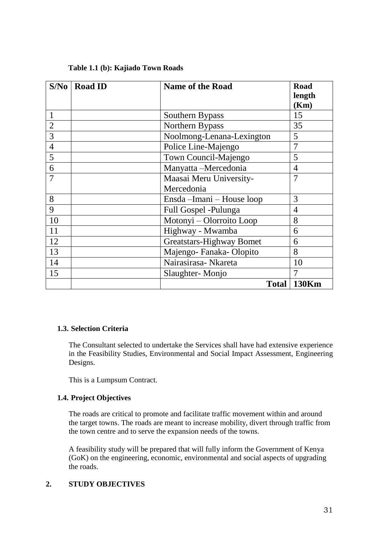| S/No           | <b>Road ID</b> | <b>Name of the Road</b>         | <b>Road</b>    |
|----------------|----------------|---------------------------------|----------------|
|                |                |                                 | length         |
|                |                |                                 | (Km)           |
| 1              |                | Southern Bypass                 | 15             |
| $\overline{2}$ |                | Northern Bypass                 | 35             |
| 3              |                | Noolmong-Lenana-Lexington       | 5              |
| $\overline{4}$ |                | Police Line-Majengo             | 7              |
| 5              |                | Town Council-Majengo            | 5              |
| 6              |                | Manyatta -Mercedonia            | $\overline{4}$ |
| 7              |                | Maasai Meru University-         | 7              |
|                |                | Mercedonia                      |                |
| 8              |                | Ensda-Imani - House loop        | 3              |
| 9              |                | Full Gospel -Pulunga            | $\overline{4}$ |
| 10             |                | Motonyi – Olorroito Loop        | 8              |
| 11             |                | Highway - Mwamba                | 6              |
| 12             |                | <b>Greatstars-Highway Bomet</b> | 6              |
| 13             |                | Majengo-Fanaka-Olopito          | 8              |
| 14             |                | Nairasirasa- Nkareta            | 10             |
| 15             |                | Slaughter-Monjo                 |                |
|                |                |                                 | Total   130Km  |

## **Table 1.1 (b): Kajiado Town Roads**

#### **1.3. Selection Criteria**

The Consultant selected to undertake the Services shall have had extensive experience in the Feasibility Studies, Environmental and Social Impact Assessment, Engineering Designs.

This is a Lumpsum Contract.

#### **1.4. Project Objectives**

The roads are critical to promote and facilitate traffic movement within and around the target towns. The roads are meant to increase mobility, divert through traffic from the town centre and to serve the expansion needs of the towns.

A feasibility study will be prepared that will fully inform the Government of Kenya (GoK) on the engineering, economic, environmental and social aspects of upgrading the roads.

## **2. STUDY OBJECTIVES**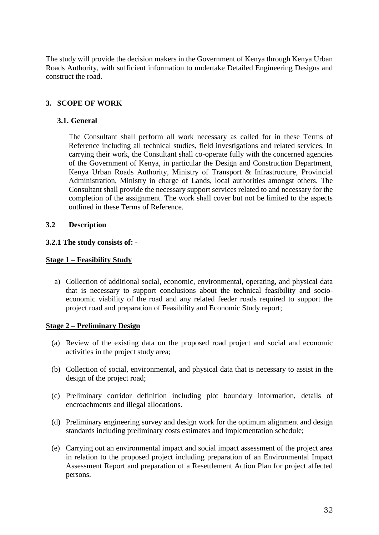The study will provide the decision makers in the Government of Kenya through Kenya Urban Roads Authority, with sufficient information to undertake Detailed Engineering Designs and construct the road.

## **3. SCOPE OF WORK**

#### **3.1. General**

The Consultant shall perform all work necessary as called for in these Terms of Reference including all technical studies, field investigations and related services. In carrying their work, the Consultant shall co-operate fully with the concerned agencies of the Government of Kenya, in particular the Design and Construction Department, Kenya Urban Roads Authority, Ministry of Transport & Infrastructure, Provincial Administration, Ministry in charge of Lands, local authorities amongst others. The Consultant shall provide the necessary support services related to and necessary for the completion of the assignment. The work shall cover but not be limited to the aspects outlined in these Terms of Reference.

#### **3.2 Description**

#### **3.2.1 The study consists of: -**

#### **Stage 1 – Feasibility Study**

a) Collection of additional social, economic, environmental, operating, and physical data that is necessary to support conclusions about the technical feasibility and socioeconomic viability of the road and any related feeder roads required to support the project road and preparation of Feasibility and Economic Study report;

#### **Stage 2 – Preliminary Design**

- (a) Review of the existing data on the proposed road project and social and economic activities in the project study area;
- (b) Collection of social, environmental, and physical data that is necessary to assist in the design of the project road;
- (c) Preliminary corridor definition including plot boundary information, details of encroachments and illegal allocations.
- (d) Preliminary engineering survey and design work for the optimum alignment and design standards including preliminary costs estimates and implementation schedule;
- (e) Carrying out an environmental impact and social impact assessment of the project area in relation to the proposed project including preparation of an Environmental Impact Assessment Report and preparation of a Resettlement Action Plan for project affected persons.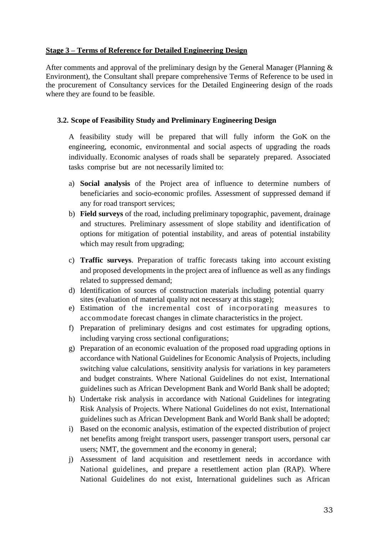#### **Stage 3 – Terms of Reference for Detailed Engineering Design**

After comments and approval of the preliminary design by the General Manager (Planning  $\&$ Environment), the Consultant shall prepare comprehensive Terms of Reference to be used in the procurement of Consultancy services for the Detailed Engineering design of the roads where they are found to be feasible.

#### **3.2. Scope of Feasibility Study and Preliminary Engineering Design**

A feasibility study will be prepared that will fully inform the GoK on the engineering, economic, environmental and social aspects of upgrading the roads individually. Economic analyses of roads shall be separately prepared. Associated tasks comprise but are not necessarily limited to:

- a) **Social analysis** of the Project area of influence to determine numbers of beneficiaries and socio-economic profiles. Assessment of suppressed demand if any for road transport services;
- b) **Field surveys** of the road, including preliminary topographic, pavement, drainage and structures. Preliminary assessment of slope stability and identification of options for mitigation of potential instability, and areas of potential instability which may result from upgrading;
- c) **Traffic surveys**. Preparation of traffic forecasts taking into account existing and proposed developments in the project area of influence as well as any findings related to suppressed demand;
- d) Identification of sources of construction materials including potential quarry sites (evaluation of material quality not necessary at this stage);
- e) Estimation of the incremental cost of incorporating measures to accommodate forecast changes in climate characteristics in the project.
- f) Preparation of preliminary designs and cost estimates for upgrading options, including varying cross sectional configurations;
- g) Preparation of an economic evaluation of the proposed road upgrading options in accordance with National Guidelines for Economic Analysis of Projects, including switching value calculations, sensitivity analysis for variations in key parameters and budget constraints. Where National Guidelines do not exist, International guidelines such as African Development Bank and World Bank shall be adopted;
- h) Undertake risk analysis in accordance with National Guidelines for integrating Risk Analysis of Projects. Where National Guidelines do not exist, International guidelines such as African Development Bank and World Bank shall be adopted;
- i) Based on the economic analysis, estimation of the expected distribution of project net benefits among freight transport users, passenger transport users, personal car users; NMT, the government and the economy in general;
- j) Assessment of land acquisition and resettlement needs in accordance with National guidelines, and prepare a resettlement action plan (RAP). Where National Guidelines do not exist, International guidelines such as African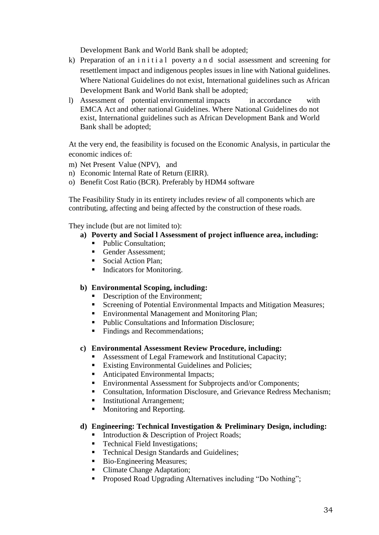Development Bank and World Bank shall be adopted;

- k) Preparation of an initial poverty and social assessment and screening for resettlement impact and indigenous peoples issues in line with National guidelines. Where National Guidelines do not exist, International guidelines such as African Development Bank and World Bank shall be adopted;
- l) Assessment of potential environmental impacts in accordance with EMCA Act and other national Guidelines. Where National Guidelines do not exist, International guidelines such as African Development Bank and World Bank shall be adopted;

At the very end, the feasibility is focused on the Economic Analysis, in particular the economic indices of:

- m) Net Present Value (NPV), and
- n) Economic Internal Rate of Return (EIRR).
- o) Benefit Cost Ratio (BCR). Preferably by HDM4 software

The Feasibility Study in its entirety includes review of all components which are contributing, affecting and being affected by the construction of these roads.

They include (but are not limited to):

- **a) Poverty and Social l Assessment of project influence area, including:**
	- Public Consultation:
	- Gender Assessment:
	- Social Action Plan;
	- Indicators for Monitoring.

## **b) Environmental Scoping, including:**

- Description of the Environment;
- Screening of Potential Environmental Impacts and Mitigation Measures;
- Environmental Management and Monitoring Plan;
- Public Consultations and Information Disclosure;
- Findings and Recommendations;

#### **c) Environmental Assessment Review Procedure, including:**

- Assessment of Legal Framework and Institutional Capacity;
- Existing Environmental Guidelines and Policies;
- Anticipated Environmental Impacts;
- Environmental Assessment for Subprojects and/or Components;
- Consultation, Information Disclosure, and Grievance Redress Mechanism;
- Institutional Arrangement;
- **Monitoring and Reporting.**

#### **d) Engineering: Technical Investigation & Preliminary Design, including:**

- Introduction & Description of Project Roads;
- **Technical Field Investigations;**
- Technical Design Standards and Guidelines;
- Bio-Engineering Measures;
- Climate Change Adaptation;
- **Proposed Road Upgrading Alternatives including "Do Nothing";**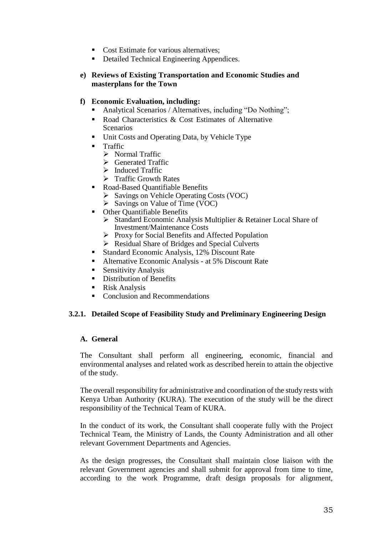- Cost Estimate for various alternatives;
- Detailed Technical Engineering Appendices.

# **e) Reviews of Existing Transportation and Economic Studies and masterplans for the Town**

## **f) Economic Evaluation, including:**

- Analytical Scenarios / Alternatives, including "Do Nothing";
- Road Characteristics & Cost Estimates of Alternative Scenarios
- Unit Costs and Operating Data, by Vehicle Type
- Traffic
	- > Normal Traffic
	- $\triangleright$  Generated Traffic
	- $\triangleright$  Induced Traffic
	- $\triangleright$  Traffic Growth Rates
- Road-Based Quantifiable Benefits
	- $\triangleright$  Savings on Vehicle Operating Costs (VOC)
	- $\triangleright$  Savings on Value of Time (VOC)
- Other Quantifiable Benefits
	- Standard Economic Analysis Multiplier & Retainer Local Share of Investment/Maintenance Costs
	- $\triangleright$  Proxy for Social Benefits and Affected Population
	- ▶ Residual Share of Bridges and Special Culverts
- Standard Economic Analysis, 12% Discount Rate
- Alternative Economic Analysis at 5% Discount Rate
- Sensitivity Analysis
- **Distribution of Benefits**
- Risk Analysis
- Conclusion and Recommendations

# **3.2.1. Detailed Scope of Feasibility Study and Preliminary Engineering Design**

## **A. General**

The Consultant shall perform all engineering, economic, financial and environmental analyses and related work as described herein to attain the objective of the study.

The overall responsibility for administrative and coordination of the study rests with Kenya Urban Authority (KURA). The execution of the study will be the direct responsibility of the Technical Team of KURA.

In the conduct of its work, the Consultant shall cooperate fully with the Project Technical Team, the Ministry of Lands, the County Administration and all other relevant Government Departments and Agencies.

As the design progresses, the Consultant shall maintain close liaison with the relevant Government agencies and shall submit for approval from time to time, according to the work Programme, draft design proposals for alignment,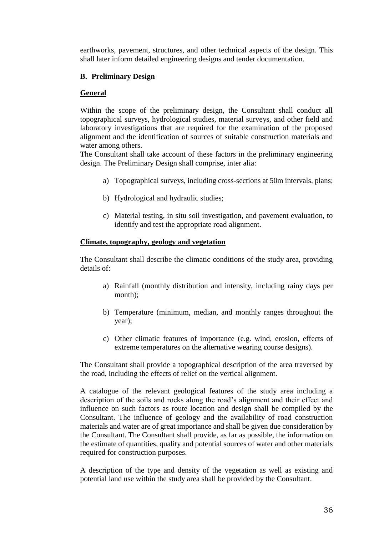earthworks, pavement, structures, and other technical aspects of the design. This shall later inform detailed engineering designs and tender documentation.

# **B. Preliminary Design**

## **General**

Within the scope of the preliminary design, the Consultant shall conduct all topographical surveys, hydrological studies, material surveys, and other field and laboratory investigations that are required for the examination of the proposed alignment and the identification of sources of suitable construction materials and water among others.

The Consultant shall take account of these factors in the preliminary engineering design. The Preliminary Design shall comprise, inter alia:

- a) Topographical surveys, including cross-sections at 50m intervals, plans;
- b) Hydrological and hydraulic studies;
- c) Material testing, in situ soil investigation, and pavement evaluation, to identify and test the appropriate road alignment.

#### **Climate, topography, geology and vegetation**

The Consultant shall describe the climatic conditions of the study area, providing details of:

- a) Rainfall (monthly distribution and intensity, including rainy days per month);
- b) Temperature (minimum, median, and monthly ranges throughout the year);
- c) Other climatic features of importance (e.g. wind, erosion, effects of extreme temperatures on the alternative wearing course designs).

The Consultant shall provide a topographical description of the area traversed by the road, including the effects of relief on the vertical alignment.

A catalogue of the relevant geological features of the study area including a description of the soils and rocks along the road's alignment and their effect and influence on such factors as route location and design shall be compiled by the Consultant. The influence of geology and the availability of road construction materials and water are of great importance and shall be given due consideration by the Consultant. The Consultant shall provide, as far as possible, the information on the estimate of quantities, quality and potential sources of water and other materials required for construction purposes.

A description of the type and density of the vegetation as well as existing and potential land use within the study area shall be provided by the Consultant.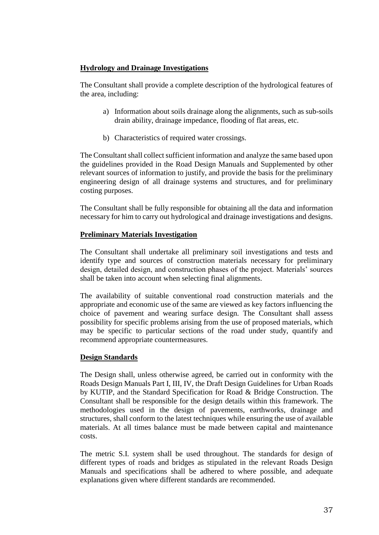# **Hydrology and Drainage Investigations**

The Consultant shall provide a complete description of the hydrological features of the area, including:

- a) Information about soils drainage along the alignments, such as sub-soils drain ability, drainage impedance, flooding of flat areas, etc.
- b) Characteristics of required water crossings.

The Consultant shall collect sufficient information and analyze the same based upon the guidelines provided in the Road Design Manuals and Supplemented by other relevant sources of information to justify, and provide the basis for the preliminary engineering design of all drainage systems and structures, and for preliminary costing purposes.

The Consultant shall be fully responsible for obtaining all the data and information necessary for him to carry out hydrological and drainage investigations and designs.

# **Preliminary Materials Investigation**

The Consultant shall undertake all preliminary soil investigations and tests and identify type and sources of construction materials necessary for preliminary design, detailed design, and construction phases of the project. Materials' sources shall be taken into account when selecting final alignments.

The availability of suitable conventional road construction materials and the appropriate and economic use of the same are viewed as key factors influencing the choice of pavement and wearing surface design. The Consultant shall assess possibility for specific problems arising from the use of proposed materials, which may be specific to particular sections of the road under study, quantify and recommend appropriate countermeasures.

# **Design Standards**

The Design shall, unless otherwise agreed, be carried out in conformity with the Roads Design Manuals Part I, III, IV, the Draft Design Guidelines for Urban Roads by KUTIP, and the Standard Specification for Road & Bridge Construction. The Consultant shall be responsible for the design details within this framework. The methodologies used in the design of pavements, earthworks, drainage and structures, shall conform to the latest techniques while ensuring the use of available materials. At all times balance must be made between capital and maintenance costs.

The metric S.I. system shall be used throughout. The standards for design of different types of roads and bridges as stipulated in the relevant Roads Design Manuals and specifications shall be adhered to where possible, and adequate explanations given where different standards are recommended.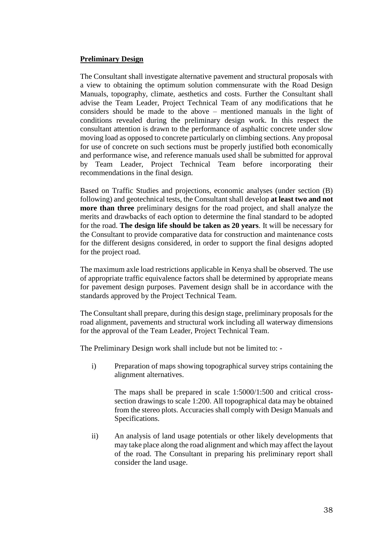## **Preliminary Design**

The Consultant shall investigate alternative pavement and structural proposals with a view to obtaining the optimum solution commensurate with the Road Design Manuals, topography, climate, aesthetics and costs. Further the Consultant shall advise the Team Leader, Project Technical Team of any modifications that he considers should be made to the above – mentioned manuals in the light of conditions revealed during the preliminary design work. In this respect the consultant attention is drawn to the performance of asphaltic concrete under slow moving load as opposed to concrete particularly on climbing sections. Any proposal for use of concrete on such sections must be properly justified both economically and performance wise, and reference manuals used shall be submitted for approval by Team Leader, Project Technical Team before incorporating their recommendations in the final design.

Based on Traffic Studies and projections, economic analyses (under section (B) following) and geotechnical tests, the Consultant shall develop **at least two and not more than three** preliminary designs for the road project, and shall analyze the merits and drawbacks of each option to determine the final standard to be adopted for the road. **The design life should be taken as 20 years**. It will be necessary for the Consultant to provide comparative data for construction and maintenance costs for the different designs considered, in order to support the final designs adopted for the project road.

The maximum axle load restrictions applicable in Kenya shall be observed. The use of appropriate traffic equivalence factors shall be determined by appropriate means for pavement design purposes. Pavement design shall be in accordance with the standards approved by the Project Technical Team.

The Consultant shall prepare, during this design stage, preliminary proposals for the road alignment, pavements and structural work including all waterway dimensions for the approval of the Team Leader, Project Technical Team.

The Preliminary Design work shall include but not be limited to: -

i) Preparation of maps showing topographical survey strips containing the alignment alternatives.

The maps shall be prepared in scale 1:5000/1:500 and critical crosssection drawings to scale 1:200. All topographical data may be obtained from the stereo plots. Accuracies shall comply with Design Manuals and Specifications.

ii) An analysis of land usage potentials or other likely developments that may take place along the road alignment and which may affect the layout of the road. The Consultant in preparing his preliminary report shall consider the land usage.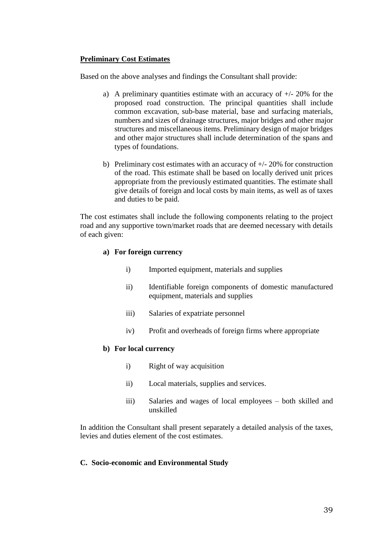## **Preliminary Cost Estimates**

Based on the above analyses and findings the Consultant shall provide:

- a) A preliminary quantities estimate with an accuracy of  $+/- 20\%$  for the proposed road construction. The principal quantities shall include common excavation, sub-base material, base and surfacing materials, numbers and sizes of drainage structures, major bridges and other major structures and miscellaneous items. Preliminary design of major bridges and other major structures shall include determination of the spans and types of foundations.
- b) Preliminary cost estimates with an accuracy of  $+/- 20\%$  for construction of the road. This estimate shall be based on locally derived unit prices appropriate from the previously estimated quantities. The estimate shall give details of foreign and local costs by main items, as well as of taxes and duties to be paid.

The cost estimates shall include the following components relating to the project road and any supportive town/market roads that are deemed necessary with details of each given:

## **a) For foreign currency**

- i) Imported equipment, materials and supplies
- ii) Identifiable foreign components of domestic manufactured equipment, materials and supplies
- iii) Salaries of expatriate personnel
- iv) Profit and overheads of foreign firms where appropriate

#### **b) For local currency**

- i) Right of way acquisition
- ii) Local materials, supplies and services.
- iii) Salaries and wages of local employees both skilled and unskilled

In addition the Consultant shall present separately a detailed analysis of the taxes, levies and duties element of the cost estimates.

#### **C. Socio-economic and Environmental Study**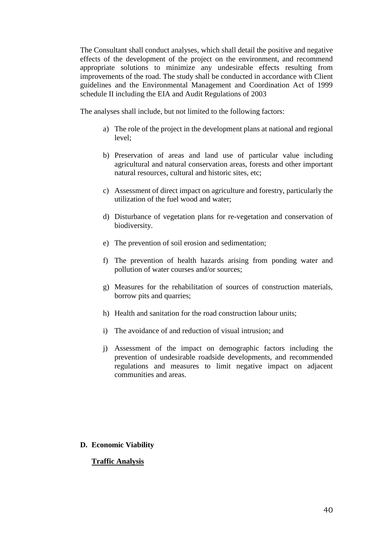The Consultant shall conduct analyses, which shall detail the positive and negative effects of the development of the project on the environment, and recommend appropriate solutions to minimize any undesirable effects resulting from improvements of the road. The study shall be conducted in accordance with Client guidelines and the Environmental Management and Coordination Act of 1999 schedule II including the EIA and Audit Regulations of 2003

The analyses shall include, but not limited to the following factors:

- a) The role of the project in the development plans at national and regional level;
- b) Preservation of areas and land use of particular value including agricultural and natural conservation areas, forests and other important natural resources, cultural and historic sites, etc;
- c) Assessment of direct impact on agriculture and forestry, particularly the utilization of the fuel wood and water;
- d) Disturbance of vegetation plans for re-vegetation and conservation of biodiversity.
- e) The prevention of soil erosion and sedimentation;
- f) The prevention of health hazards arising from ponding water and pollution of water courses and/or sources;
- g) Measures for the rehabilitation of sources of construction materials, borrow pits and quarries;
- h) Health and sanitation for the road construction labour units;
- i) The avoidance of and reduction of visual intrusion; and
- j) Assessment of the impact on demographic factors including the prevention of undesirable roadside developments, and recommended regulations and measures to limit negative impact on adjacent communities and areas.

## **D. Economic Viability**

## **Traffic Analysis**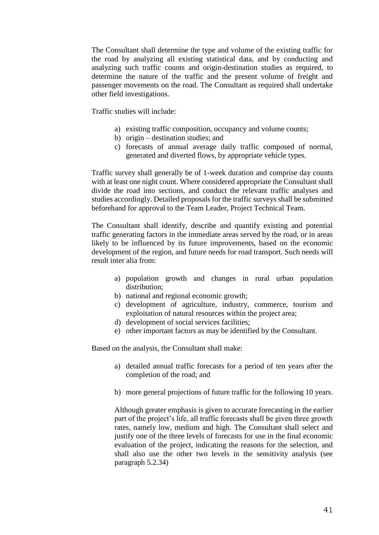The Consultant shall determine the type and volume of the existing traffic for the road by analyzing all existing statistical data, and by conducting and analyzing such traffic counts and origin-destination studies as required, to determine the nature of the traffic and the present volume of freight and passenger movements on the road. The Consultant as required shall undertake other field investigations.

Traffic studies will include:

- a) existing traffic composition, occupancy and volume counts;
- b) origin destination studies; and
- c) forecasts of annual average daily traffic composed of normal, generated and diverted flows, by appropriate vehicle types.

Traffic survey shall generally be of 1-week duration and comprise day counts with at least one night count. Where considered appropriate the Consultant shall divide the road into sections, and conduct the relevant traffic analyses and studies accordingly. Detailed proposals for the traffic surveys shall be submitted beforehand for approval to the Team Leader, Project Technical Team.

The Consultant shall identify, describe and quantify existing and potential traffic generating factors in the immediate areas served by the road, or in areas likely to be influenced by its future improvements, based on the economic development of the region, and future needs for road transport. Such needs will result inter alia from:

- a) population growth and changes in rural urban population distribution;
- b) national and regional economic growth;
- c) development of agriculture, industry, commerce, tourism and exploitation of natural resources within the project area;
- d) development of social services facilities;
- e) other important factors as may be identified by the Consultant.

Based on the analysis, the Consultant shall make:

- a) detailed annual traffic forecasts for a period of ten years after the completion of the road; and
- b) more general projections of future traffic for the following 10 years.

Although greater emphasis is given to accurate forecasting in the earlier part of the project's life, all traffic forecasts shall be given three growth rates, namely low, medium and high. The Consultant shall select and justify one of the three levels of forecasts for use in the final economic evaluation of the project, indicating the reasons for the selection, and shall also use the other two levels in the sensitivity analysis (see paragraph 5.2.34)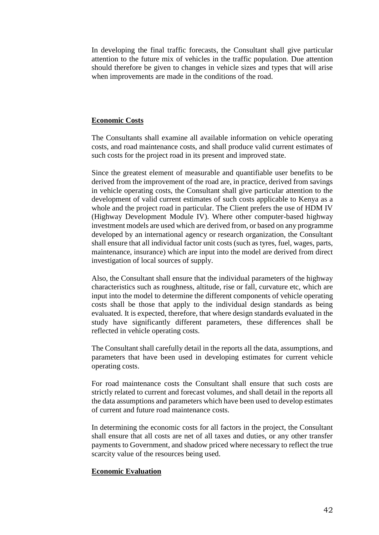In developing the final traffic forecasts, the Consultant shall give particular attention to the future mix of vehicles in the traffic population. Due attention should therefore be given to changes in vehicle sizes and types that will arise when improvements are made in the conditions of the road.

#### **Economic Costs**

The Consultants shall examine all available information on vehicle operating costs, and road maintenance costs, and shall produce valid current estimates of such costs for the project road in its present and improved state.

Since the greatest element of measurable and quantifiable user benefits to be derived from the improvement of the road are, in practice, derived from savings in vehicle operating costs, the Consultant shall give particular attention to the development of valid current estimates of such costs applicable to Kenya as a whole and the project road in particular. The Client prefers the use of HDM IV (Highway Development Module IV). Where other computer-based highway investment models are used which are derived from, or based on any programme developed by an international agency or research organization, the Consultant shall ensure that all individual factor unit costs (such as tyres, fuel, wages, parts, maintenance, insurance) which are input into the model are derived from direct investigation of local sources of supply.

Also, the Consultant shall ensure that the individual parameters of the highway characteristics such as roughness, altitude, rise or fall, curvature etc, which are input into the model to determine the different components of vehicle operating costs shall be those that apply to the individual design standards as being evaluated. It is expected, therefore, that where design standards evaluated in the study have significantly different parameters, these differences shall be reflected in vehicle operating costs.

The Consultant shall carefully detail in the reports all the data, assumptions, and parameters that have been used in developing estimates for current vehicle operating costs.

For road maintenance costs the Consultant shall ensure that such costs are strictly related to current and forecast volumes, and shall detail in the reports all the data assumptions and parameters which have been used to develop estimates of current and future road maintenance costs.

In determining the economic costs for all factors in the project, the Consultant shall ensure that all costs are net of all taxes and duties, or any other transfer payments to Government, and shadow priced where necessary to reflect the true scarcity value of the resources being used.

#### **Economic Evaluation**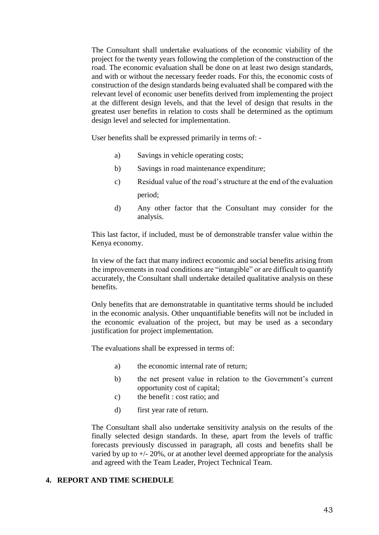The Consultant shall undertake evaluations of the economic viability of the project for the twenty years following the completion of the construction of the road. The economic evaluation shall be done on at least two design standards, and with or without the necessary feeder roads. For this, the economic costs of construction of the design standards being evaluated shall be compared with the relevant level of economic user benefits derived from implementing the project at the different design levels, and that the level of design that results in the greatest user benefits in relation to costs shall be determined as the optimum design level and selected for implementation.

User benefits shall be expressed primarily in terms of: -

- a) Savings in vehicle operating costs;
- b) Savings in road maintenance expenditure;
- c) Residual value of the road's structure at the end of the evaluation period;
- d) Any other factor that the Consultant may consider for the analysis.

This last factor, if included, must be of demonstrable transfer value within the Kenya economy.

In view of the fact that many indirect economic and social benefits arising from the improvements in road conditions are "intangible" or are difficult to quantify accurately, the Consultant shall undertake detailed qualitative analysis on these benefits.

Only benefits that are demonstratable in quantitative terms should be included in the economic analysis. Other unquantifiable benefits will not be included in the economic evaluation of the project, but may be used as a secondary justification for project implementation.

The evaluations shall be expressed in terms of:

- a) the economic internal rate of return;
- b) the net present value in relation to the Government's current opportunity cost of capital;
- c) the benefit : cost ratio; and
- d) first year rate of return.

The Consultant shall also undertake sensitivity analysis on the results of the finally selected design standards. In these, apart from the levels of traffic forecasts previously discussed in paragraph, all costs and benefits shall be varied by up to +/- 20%, or at another level deemed appropriate for the analysis and agreed with the Team Leader, Project Technical Team.

## **4. REPORT AND TIME SCHEDULE**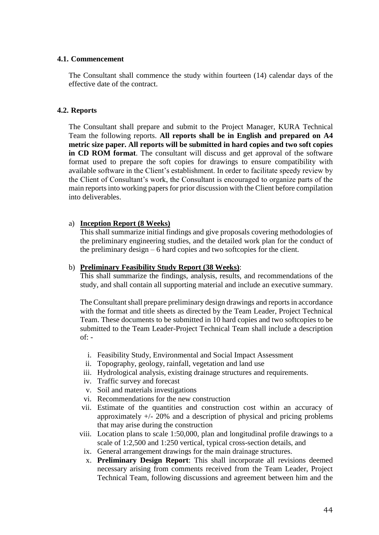## **4.1. Commencement**

The Consultant shall commence the study within fourteen (14) calendar days of the effective date of the contract.

# **4.2. Reports**

The Consultant shall prepare and submit to the Project Manager, KURA Technical Team the following reports. **All reports shall be in English and prepared on A4 metric size paper. All reports will be submitted in hard copies and two soft copies in CD ROM format**. The consultant will discuss and get approval of the software format used to prepare the soft copies for drawings to ensure compatibility with available software in the Client's establishment. In order to facilitate speedy review by the Client of Consultant's work, the Consultant is encouraged to organize parts of the main reports into working papers for prior discussion with the Client before compilation into deliverables.

# a) **Inception Report (8 Weeks)**

This shall summarize initial findings and give proposals covering methodologies of the preliminary engineering studies, and the detailed work plan for the conduct of the preliminary design – 6 hard copies and two softcopies for the client.

# b) **Preliminary Feasibility Study Report (38 Weeks)**:

This shall summarize the findings, analysis, results, and recommendations of the study, and shall contain all supporting material and include an executive summary.

The Consultant shall prepare preliminary design drawings and reports in accordance with the format and title sheets as directed by the Team Leader, Project Technical Team. These documents to be submitted in 10 hard copies and two softcopies to be submitted to the Team Leader-Project Technical Team shall include a description  $of: -$ 

- i. Feasibility Study, Environmental and Social Impact Assessment
- ii. Topography, geology, rainfall, vegetation and land use
- iii. Hydrological analysis, existing drainage structures and requirements.
- iv. Traffic survey and forecast
- v. Soil and materials investigations
- vi. Recommendations for the new construction
- vii. Estimate of the quantities and construction cost within an accuracy of approximately +/- 20% and a description of physical and pricing problems that may arise during the construction
- viii. Location plans to scale 1:50,000, plan and longitudinal profile drawings to a scale of 1:2,500 and 1:250 vertical, typical cross-section details, and
	- ix. General arrangement drawings for the main drainage structures.
	- x. **Preliminary Design Report**: This shall incorporate all revisions deemed necessary arising from comments received from the Team Leader, Project Technical Team, following discussions and agreement between him and the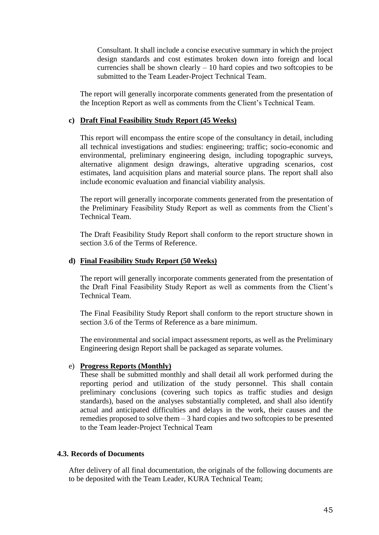Consultant. It shall include a concise executive summary in which the project design standards and cost estimates broken down into foreign and local currencies shall be shown clearly  $-10$  hard copies and two softcopies to be submitted to the Team Leader-Project Technical Team.

The report will generally incorporate comments generated from the presentation of the Inception Report as well as comments from the Client's Technical Team.

#### **c) Draft Final Feasibility Study Report (45 Weeks)**

This report will encompass the entire scope of the consultancy in detail, including all technical investigations and studies: engineering; traffic; socio-economic and environmental, preliminary engineering design, including topographic surveys, alternative alignment design drawings, alterative upgrading scenarios, cost estimates, land acquisition plans and material source plans. The report shall also include economic evaluation and financial viability analysis.

The report will generally incorporate comments generated from the presentation of the Preliminary Feasibility Study Report as well as comments from the Client's Technical Team.

The Draft Feasibility Study Report shall conform to the report structure shown in section 3.6 of the Terms of Reference.

#### **d) Final Feasibility Study Report (50 Weeks)**

The report will generally incorporate comments generated from the presentation of the Draft Final Feasibility Study Report as well as comments from the Client's Technical Team.

The Final Feasibility Study Report shall conform to the report structure shown in section 3.6 of the Terms of Reference as a bare minimum.

The environmental and social impact assessment reports, as well as the Preliminary Engineering design Report shall be packaged as separate volumes.

#### e) **Progress Reports (Monthly)**

These shall be submitted monthly and shall detail all work performed during the reporting period and utilization of the study personnel. This shall contain preliminary conclusions (covering such topics as traffic studies and design standards), based on the analyses substantially completed, and shall also identify actual and anticipated difficulties and delays in the work, their causes and the remedies proposed to solve them – 3 hard copies and two softcopies to be presented to the Team leader-Project Technical Team

## **4.3. Records of Documents**

After delivery of all final documentation, the originals of the following documents are to be deposited with the Team Leader, KURA Technical Team;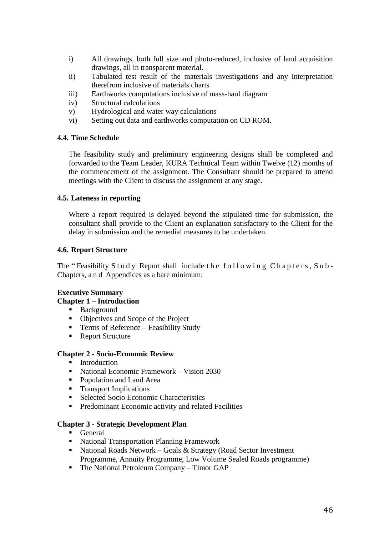- i) All drawings, both full size and photo-reduced, inclusive of land acquisition drawings, all in transparent material.
- ii) Tabulated test result of the materials investigations and any interpretation therefrom inclusive of materials charts
- iii) Earthworks computations inclusive of mass-haul diagram
- iv) Structural calculations
- v) Hydrological and water way calculations
- vi) Setting out data and earthworks computation on CD ROM.

## **4.4. Time Schedule**

The feasibility study and preliminary engineering designs shall be completed and forwarded to the Team Leader, KURA Technical Team within Twelve (12) months of the commencement of the assignment. The Consultant should be prepared to attend meetings with the Client to discuss the assignment at any stage.

## **4.5. Lateness in reporting**

Where a report required is delayed beyond the stipulated time for submission, the consultant shall provide to the Client an explanation satisfactory to the Client for the delay in submission and the remedial measures to be undertaken.

## **4.6. Report Structure**

The "Feasibility Study Report shall include the following Chapters, Sub-Chapters, a n d Appendices as a bare minimum:

# **Executive Summary**

## **Chapter 1 – Introduction**

- **Background**
- Objectives and Scope of the Project
- **Terms of Reference Feasibility Study**
- Report Structure

## **Chapter 2 - Socio-Economic Review**

- **Introduction**
- National Economic Framework Vision 2030
- Population and Land Area
- **Transport Implications**
- Selected Socio Economic Characteristics
- **Predominant Economic activity and related Facilities**

## **Chapter 3 - Strategic Development Plan**

- **General**
- National Transportation Planning Framework
- National Roads Network Goals & Strategy (Road Sector Investment Programme, Annuity Programme, Low Volume Sealed Roads programme)
- The National Petroleum Company Timor GAP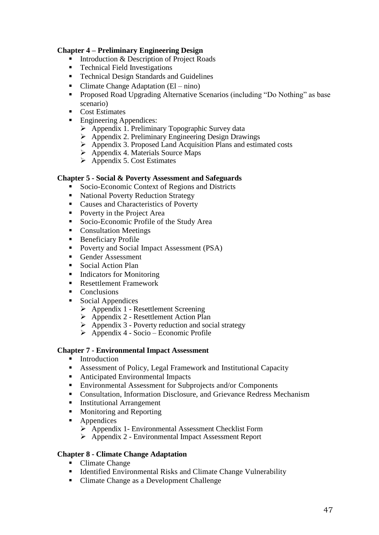# **Chapter 4 – Preliminary Engineering Design**

- Introduction & Description of Project Roads<br>■ Technical Field Investigations
- Technical Field Investigations
- **Technical Design Standards and Guidelines**
- Climate Change Adaptation  $(El nino)$
- Proposed Road Upgrading Alternative Scenarios (including "Do Nothing" as base scenario)
- Cost Estimates
	- Engineering Appendices:
		- $\triangleright$  Appendix 1. Preliminary Topographic Survey data
		- Appendix 2. Preliminary Engineering Design Drawings
		- Appendix 3. Proposed Land Acquisition Plans and estimated costs
		- $\triangleright$  Appendix 4. Materials Source Maps
		- $\triangleright$  Appendix 5. Cost Estimates

## **Chapter 5 - Social & Poverty Assessment and Safeguards**

- Socio-Economic Context of Regions and Districts
- National Poverty Reduction Strategy
- Causes and Characteristics of Poverty
- Poverty in the Project Area
- Socio-Economic Profile of the Study Area
- Consultation Meetings
- Beneficiary Profile
- **Poverty and Social Impact Assessment (PSA)**
- Gender Assessment
- Social Action Plan
- Indicators for Monitoring
- Resettlement Framework
- **Conclusions**
- Social Appendices
	- $\triangleright$  Appendix 1 Resettlement Screening
	- $\triangleright$  Appendix 2 Resettlement Action Plan
	- $\triangleright$  Appendix 3 Poverty reduction and social strategy
	- $\triangleright$  Appendix 4 Socio Economic Profile

## **Chapter 7 - Environmental Impact Assessment**

- **Introduction**
- Assessment of Policy, Legal Framework and Institutional Capacity
- Anticipated Environmental Impacts
- Environmental Assessment for Subprojects and/or Components
- Consultation, Information Disclosure, and Grievance Redress Mechanism
- **Institutional Arrangement**
- Monitoring and Reporting
- Appendices
	- Appendix 1- Environmental Assessment Checklist Form
	- Appendix 2 Environmental Impact Assessment Report

# **Chapter 8 - Climate Change Adaptation**

- Climate Change
- Identified Environmental Risks and Climate Change Vulnerability
- Climate Change as a Development Challenge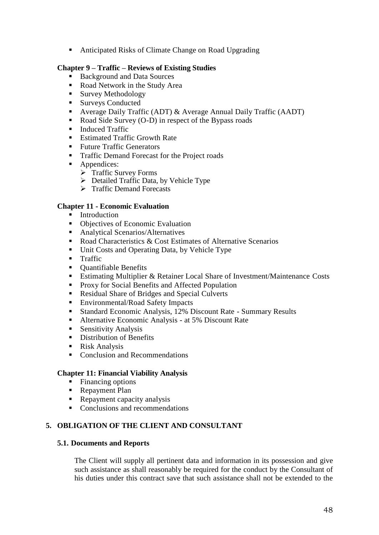■ Anticipated Risks of Climate Change on Road Upgrading

## **Chapter 9 – Traffic – Reviews of Existing Studies**

- Background and Data Sources
- Road Network in the Study Area
- **Survey Methodology**
- 
- **Surveys Conducted**<br>**Average Daily Traff** Average Daily Traffic (ADT) & Average Annual Daily Traffic (AADT)
- Road Side Survey  $(O-D)$  in respect of the Bypass roads
- **Induced Traffic**
- Estimated Traffic Growth Rate
- Future Traffic Generators
- Traffic Demand Forecast for the Project roads
- Appendices:
	- $\triangleright$  Traffic Survey Forms
	- $\triangleright$  Detailed Traffic Data, by Vehicle Type
	- > Traffic Demand Forecasts

# **Chapter 11 - Economic Evaluation**

- **Introduction**
- Objectives of Economic Evaluation
- Analytical Scenarios/Alternatives
- Road Characteristics & Cost Estimates of Alternative Scenarios
- Unit Costs and Operating Data, by Vehicle Type<br>■ Traffic
- Traffic
- Quantifiable Benefits
- Estimating Multiplier & Retainer Local Share of Investment/Maintenance Costs
- **Proxy for Social Benefits and Affected Population**
- Residual Share of Bridges and Special Culverts
- Environmental/Road Safety Impacts
- Standard Economic Analysis, 12% Discount Rate Summary Results
- Alternative Economic Analysis at 5% Discount Rate
- **Sensitivity Analysis**
- **Distribution of Benefits**
- Risk Analysis
- Conclusion and Recommendations

# **Chapter 11: Financial Viability Analysis**

- Financing options
- Repayment Plan
- Repayment capacity analysis
- Conclusions and recommendations

# **5. OBLIGATION OF THE CLIENT AND CONSULTANT**

## **5.1. Documents and Reports**

The Client will supply all pertinent data and information in its possession and give such assistance as shall reasonably be required for the conduct by the Consultant of his duties under this contract save that such assistance shall not be extended to the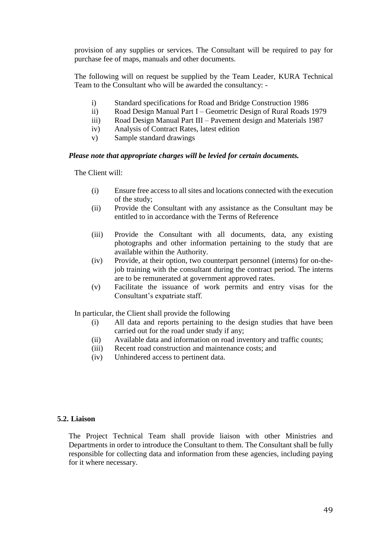provision of any supplies or services. The Consultant will be required to pay for purchase fee of maps, manuals and other documents.

The following will on request be supplied by the Team Leader, KURA Technical Team to the Consultant who will be awarded the consultancy: -

- i) Standard specifications for Road and Bridge Construction 1986
- ii) Road Design Manual Part I Geometric Design of Rural Roads 1979
- iii) Road Design Manual Part III Pavement design and Materials 1987
- iv) Analysis of Contract Rates, latest edition
- v) Sample standard drawings

## *Please note that appropriate charges will be levied for certain documents.*

The Client will:

- (i) Ensure free access to all sites and locations connected with the execution of the study;
- (ii) Provide the Consultant with any assistance as the Consultant may be entitled to in accordance with the Terms of Reference
- (iii) Provide the Consultant with all documents, data, any existing photographs and other information pertaining to the study that are available within the Authority.
- (iv) Provide, at their option, two counterpart personnel (interns) for on-thejob training with the consultant during the contract period. The interns are to be remunerated at government approved rates.
- (v) Facilitate the issuance of work permits and entry visas for the Consultant's expatriate staff.

In particular, the Client shall provide the following

- (i) All data and reports pertaining to the design studies that have been carried out for the road under study if any;
- (ii) Available data and information on road inventory and traffic counts;
- (iii) Recent road construction and maintenance costs; and
- (iv) Unhindered access to pertinent data.

## **5.2. Liaison**

The Project Technical Team shall provide liaison with other Ministries and Departments in order to introduce the Consultant to them. The Consultant shall be fully responsible for collecting data and information from these agencies, including paying for it where necessary.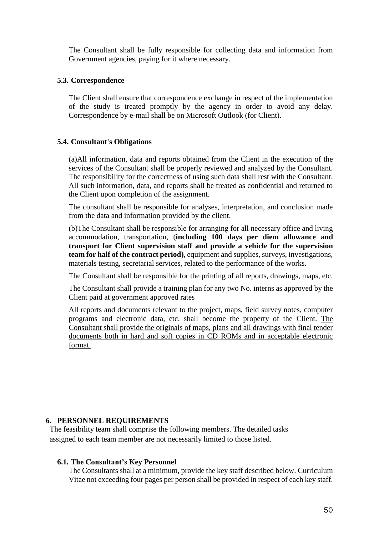The Consultant shall be fully responsible for collecting data and information from Government agencies, paying for it where necessary.

## **5.3. Correspondence**

The Client shall ensure that correspondence exchange in respect of the implementation of the study is treated promptly by the agency in order to avoid any delay. Correspondence by e-mail shall be on Microsoft Outlook (for Client).

## **5.4. Consultant's Obligations**

(a)All information, data and reports obtained from the Client in the execution of the services of the Consultant shall be properly reviewed and analyzed by the Consultant. The responsibility for the correctness of using such data shall rest with the Consultant. All such information, data, and reports shall be treated as confidential and returned to the Client upon completion of the assignment.

The consultant shall be responsible for analyses, interpretation, and conclusion made from the data and information provided by the client.

(b)The Consultant shall be responsible for arranging for all necessary office and living accommodation, transportation, (**including 100 days per diem allowance and transport for Client supervision staff and provide a vehicle for the supervision team for half of the contract period)**, equipment and supplies, surveys, investigations, materials testing, secretarial services, related to the performance of the works.

The Consultant shall be responsible for the printing of all reports, drawings, maps, etc.

The Consultant shall provide a training plan for any two No. interns as approved by the Client paid at government approved rates

All reports and documents relevant to the project, maps, field survey notes, computer programs and electronic data, etc. shall become the property of the Client. The Consultant shall provide the originals of maps, plans and all drawings with final tender documents both in hard and soft copies in CD ROMs and in acceptable electronic format.

## **6. PERSONNEL REQUIREMENTS**

The feasibility team shall comprise the following members. The detailed tasks assigned to each team member are not necessarily limited to those listed.

## **6.1. The Consultant's Key Personnel**

The Consultants shall at a minimum, provide the key staff described below. Curriculum Vitae not exceeding four pages per person shall be provided in respect of each key staff.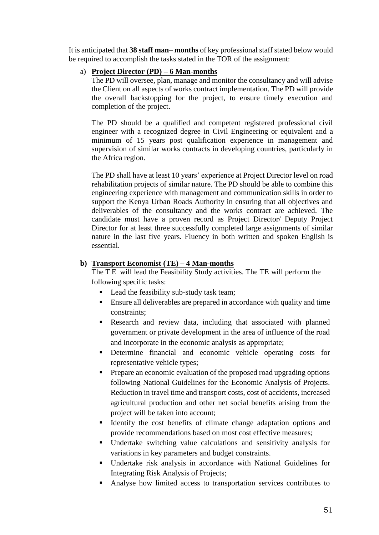It is anticipated that **38 staff man– months** of key professional staff stated below would be required to accomplish the tasks stated in the TOR of the assignment:

# a) **Project Director (PD) – 6 Man-months**

The PD will oversee, plan, manage and monitor the consultancy and will advise the Client on all aspects of works contract implementation. The PD will provide the overall backstopping for the project, to ensure timely execution and completion of the project.

The PD should be a qualified and competent registered professional civil engineer with a recognized degree in Civil Engineering or equivalent and a minimum of 15 years post qualification experience in management and supervision of similar works contracts in developing countries, particularly in the Africa region.

The PD shall have at least 10 years' experience at Project Director level on road rehabilitation projects of similar nature. The PD should be able to combine this engineering experience with management and communication skills in order to support the Kenya Urban Roads Authority in ensuring that all objectives and deliverables of the consultancy and the works contract are achieved. The candidate must have a proven record as Project Director/ Deputy Project Director for at least three successfully completed large assignments of similar nature in the last five years. Fluency in both written and spoken English is essential.

# **b) Transport Economist (TE) – 4 Man-months**

The T E will lead the Feasibility Study activities. The TE will perform the following specific tasks:

- Lead the feasibility sub-study task team;
- Ensure all deliverables are prepared in accordance with quality and time constraints;
- Research and review data, including that associated with planned government or private development in the area of influence of the road and incorporate in the economic analysis as appropriate;
- Determine financial and economic vehicle operating costs for representative vehicle types;
- **Prepare an economic evaluation of the proposed road upgrading options** following National Guidelines for the Economic Analysis of Projects. Reduction in travel time and transport costs, cost of accidents, increased agricultural production and other net social benefits arising from the project will be taken into account;
- Identify the cost benefits of climate change adaptation options and provide recommendations based on most cost effective measures;
- Undertake switching value calculations and sensitivity analysis for variations in key parameters and budget constraints.
- Undertake risk analysis in accordance with National Guidelines for Integrating Risk Analysis of Projects;
- Analyse how limited access to transportation services contributes to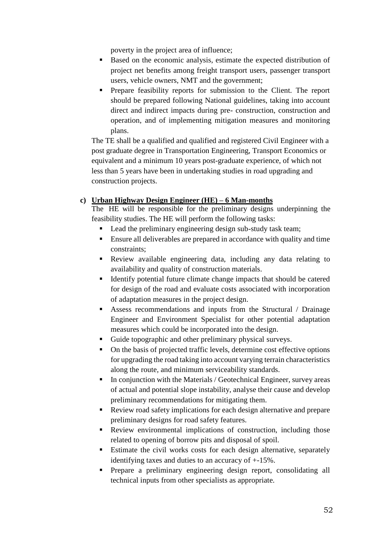poverty in the project area of influence;

- Based on the economic analysis, estimate the expected distribution of project net benefits among freight transport users, passenger transport users, vehicle owners, NMT and the government;
- **Prepare feasibility reports for submission to the Client. The report** should be prepared following National guidelines, taking into account direct and indirect impacts during pre- construction, construction and operation, and of implementing mitigation measures and monitoring plans.

The TE shall be a qualified and qualified and registered Civil Engineer with a post graduate degree in Transportation Engineering, Transport Economics or equivalent and a minimum 10 years post-graduate experience, of which not less than 5 years have been in undertaking studies in road upgrading and construction projects.

# **c) Urban Highway Design Engineer (HE) – 6 Man-months**

The HE will be responsible for the preliminary designs underpinning the feasibility studies. The HE will perform the following tasks:

- Lead the preliminary engineering design sub-study task team;
- Ensure all deliverables are prepared in accordance with quality and time constraints;
- Review available engineering data, including any data relating to availability and quality of construction materials.
- Identify potential future climate change impacts that should be catered for design of the road and evaluate costs associated with incorporation of adaptation measures in the project design.
- Assess recommendations and inputs from the Structural / Drainage Engineer and Environment Specialist for other potential adaptation measures which could be incorporated into the design.
- Guide topographic and other preliminary physical surveys.
- On the basis of projected traffic levels, determine cost effective options for upgrading the road taking into account varying terrain characteristics along the route, and minimum serviceability standards.
- $\blacksquare$  In conjunction with the Materials / Geotechnical Engineer, survey areas of actual and potential slope instability, analyse their cause and develop preliminary recommendations for mitigating them.
- Review road safety implications for each design alternative and prepare preliminary designs for road safety features.
- Review environmental implications of construction, including those related to opening of borrow pits and disposal of spoil.
- Estimate the civil works costs for each design alternative, separately identifying taxes and duties to an accuracy of +-15%.
- Prepare a preliminary engineering design report, consolidating all technical inputs from other specialists as appropriate.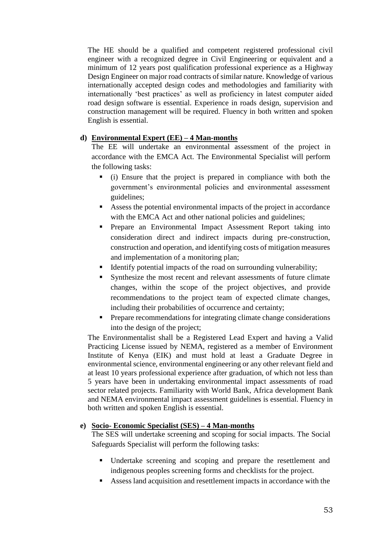The HE should be a qualified and competent registered professional civil engineer with a recognized degree in Civil Engineering or equivalent and a minimum of 12 years post qualification professional experience as a Highway Design Engineer on major road contracts of similar nature. Knowledge of various internationally accepted design codes and methodologies and familiarity with internationally 'best practices' as well as proficiency in latest computer aided road design software is essential. Experience in roads design, supervision and construction management will be required. Fluency in both written and spoken English is essential.

# **d) Environmental Expert (EE) – 4 Man-months**

The EE will undertake an environmental assessment of the project in accordance with the EMCA Act. The Environmental Specialist will perform the following tasks:

- (i) Ensure that the project is prepared in compliance with both the government's environmental policies and environmental assessment guidelines;
- Assess the potential environmental impacts of the project in accordance with the EMCA Act and other national policies and guidelines;
- **Prepare an Environmental Impact Assessment Report taking into** consideration direct and indirect impacts during pre-construction, construction and operation, and identifying costs of mitigation measures and implementation of a monitoring plan;
- Identify potential impacts of the road on surrounding vulnerability;
- Synthesize the most recent and relevant assessments of future climate changes, within the scope of the project objectives, and provide recommendations to the project team of expected climate changes, including their probabilities of occurrence and certainty;
- Prepare recommendations for integrating climate change considerations into the design of the project;

The Environmentalist shall be a Registered Lead Expert and having a Valid Practicing License issued by NEMA, registered as a member of Environment Institute of Kenya (EIK) and must hold at least a Graduate Degree in environmental science, environmental engineering or any other relevant field and at least 10 years professional experience after graduation, of which not less than 5 years have been in undertaking environmental impact assessments of road sector related projects. Familiarity with World Bank, Africa development Bank and NEMA environmental impact assessment guidelines is essential. Fluency in both written and spoken English is essential.

# **e) Socio- Economic Specialist (SES) – 4 Man-months**

The SES will undertake screening and scoping for social impacts. The Social Safeguards Specialist will perform the following tasks:

- Undertake screening and scoping and prepare the resettlement and indigenous peoples screening forms and checklists for the project.
- Assess land acquisition and resettlement impacts in accordance with the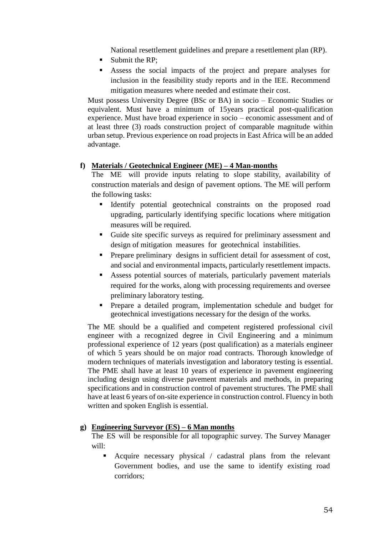National resettlement guidelines and prepare a resettlement plan (RP).

- Submit the RP:
- Assess the social impacts of the project and prepare analyses for inclusion in the feasibility study reports and in the IEE. Recommend mitigation measures where needed and estimate their cost.

Must possess University Degree (BSc or BA) in socio – Economic Studies or equivalent. Must have a minimum of 15years practical post-qualification experience. Must have broad experience in socio – economic assessment and of at least three (3) roads construction project of comparable magnitude within urban setup. Previous experience on road projects in East Africa will be an added advantage.

# **f) Materials / Geotechnical Engineer (ME) – 4 Man-months**

The ME will provide inputs relating to slope stability, availability of construction materials and design of pavement options. The ME will perform the following tasks:

- Identify potential geotechnical constraints on the proposed road upgrading, particularly identifying specific locations where mitigation measures will be required.
- Guide site specific surveys as required for preliminary assessment and design of mitigation measures for geotechnical instabilities.
- Prepare preliminary designs in sufficient detail for assessment of cost, and social and environmental impacts, particularly resettlement impacts.
- Assess potential sources of materials, particularly pavement materials required for the works, along with processing requirements and oversee preliminary laboratory testing.
- Prepare a detailed program, implementation schedule and budget for geotechnical investigations necessary for the design of the works.

The ME should be a qualified and competent registered professional civil engineer with a recognized degree in Civil Engineering and a minimum professional experience of 12 years (post qualification) as a materials engineer of which 5 years should be on major road contracts. Thorough knowledge of modern techniques of materials investigation and laboratory testing is essential. The PME shall have at least 10 years of experience in pavement engineering including design using diverse pavement materials and methods, in preparing specifications and in construction control of pavement structures. The PME shall have at least 6 years of on-site experience in construction control. Fluency in both written and spoken English is essential.

# **g) Engineering Surveyor (ES) – 6 Man months**

The ES will be responsible for all topographic survey. The Survey Manager will:

 Acquire necessary physical / cadastral plans from the relevant Government bodies, and use the same to identify existing road corridors;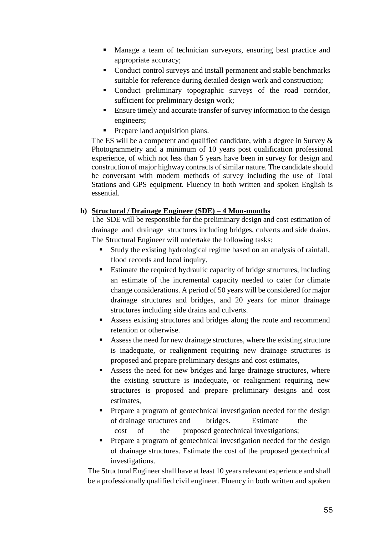- Manage a team of technician surveyors, ensuring best practice and appropriate accuracy;
- Conduct control surveys and install permanent and stable benchmarks suitable for reference during detailed design work and construction;
- Conduct preliminary topographic surveys of the road corridor, sufficient for preliminary design work;
- Ensure timely and accurate transfer of survey information to the design engineers;
- Prepare land acquisition plans.

The ES will be a competent and qualified candidate, with a degree in Survey & Photogrammetry and a minimum of 10 years post qualification professional experience, of which not less than 5 years have been in survey for design and construction of major highway contracts of similar nature. The candidate should be conversant with modern methods of survey including the use of Total Stations and GPS equipment. Fluency in both written and spoken English is essential.

# **h) Structural / Drainage Engineer (SDE) – 4 Mon-months**

The SDE will be responsible for the preliminary design and cost estimation of drainage and drainage structures including bridges, culverts and side drains. The Structural Engineer will undertake the following tasks:

- Study the existing hydrological regime based on an analysis of rainfall, flood records and local inquiry.
- Estimate the required hydraulic capacity of bridge structures, including an estimate of the incremental capacity needed to cater for climate change considerations. A period of 50 years will be considered for major drainage structures and bridges, and 20 years for minor drainage structures including side drains and culverts.
- Assess existing structures and bridges along the route and recommend retention or otherwise.
- Assess the need for new drainage structures, where the existing structure is inadequate, or realignment requiring new drainage structures is proposed and prepare preliminary designs and cost estimates,
- Assess the need for new bridges and large drainage structures, where the existing structure is inadequate, or realignment requiring new structures is proposed and prepare preliminary designs and cost estimates,
- Prepare a program of geotechnical investigation needed for the design of drainage structures and bridges. Estimate the cost of the proposed geotechnical investigations;
- Prepare a program of geotechnical investigation needed for the design of drainage structures. Estimate the cost of the proposed geotechnical investigations.

The Structural Engineer shall have at least 10 years relevant experience and shall be a professionally qualified civil engineer. Fluency in both written and spoken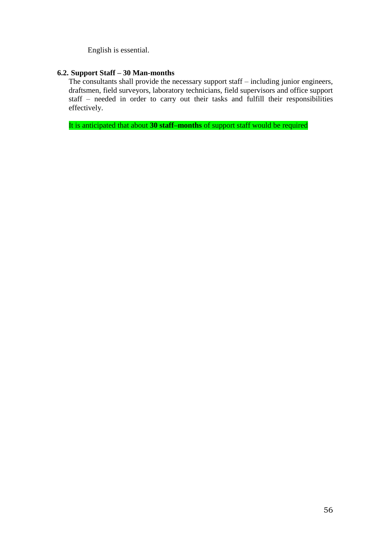English is essential.

# **6.2. Support Staff – 30 Man-months**

The consultants shall provide the necessary support staff – including junior engineers, draftsmen, field surveyors, laboratory technicians, field supervisors and office support staff – needed in order to carry out their tasks and fulfill their responsibilities effectively.

It is anticipated that about **30 staff–months** of support staff would be required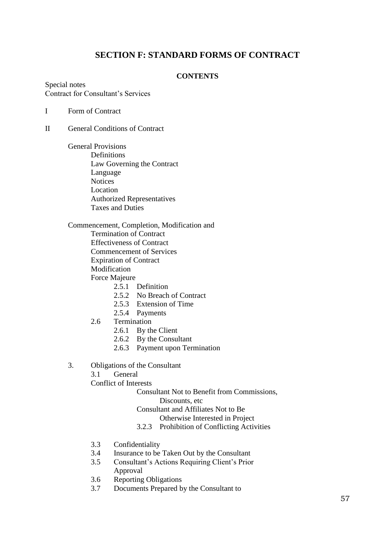# **SECTION F: STANDARD FORMS OF CONTRACT**

# **CONTENTS**

Special notes Contract for Consultant's Services

I Form of Contract

- II General Conditions of Contract
	- General Provisions Definitions Law Governing the Contract Language **Notices** Location Authorized Representatives Taxes and Duties

Commencement, Completion, Modification and Termination of Contract Effectiveness of Contract Commencement of Services Expiration of Contract Modification Force Majeure

- 2.5.1 Definition
- 2.5.2 No Breach of Contract
- 2.5.3 Extension of Time
- 2.5.4 Payments
- 2.6 Termination
	- 2.6.1 By the Client
	- 2.6.2 By the Consultant
	- 2.6.3 Payment upon Termination
- 3. Obligations of the Consultant
	- 3.1 General

Conflict of Interests

Consultant Not to Benefit from Commissions, Discounts, etc

Consultant and Affiliates Not to Be

Otherwise Interested in Project

- 3.2.3 Prohibition of Conflicting Activities
- 3.3 Confidentiality
- 3.4 Insurance to be Taken Out by the Consultant
- 3.5 Consultant's Actions Requiring Client's Prior Approval
- 3.6 Reporting Obligations
- 3.7 Documents Prepared by the Consultant to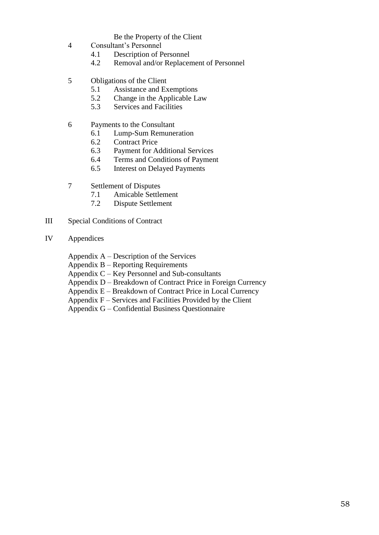# Be the Property of the Client

- 4 Consultant's Personnel
	- 4.1 Description of Personnel
	- 4.2 Removal and/or Replacement of Personnel
- 5 Obligations of the Client
	- 5.1 Assistance and Exemptions
	- 5.2 Change in the Applicable Law
	- 5.3 Services and Facilities
- 6 Payments to the Consultant
	- 6.1 Lump-Sum Remuneration
	- 6.2 Contract Price
	- 6.3 Payment for Additional Services
	- 6.4 Terms and Conditions of Payment
	- 6.5 Interest on Delayed Payments
- 7 Settlement of Disputes
	- 7.1 Amicable Settlement<br>7.2 Dispute Settlement
	- Dispute Settlement
- III Special Conditions of Contract
- IV Appendices
	- Appendix A Description of the Services
	- Appendix B Reporting Requirements
	- Appendix C Key Personnel and Sub-consultants
	- Appendix D Breakdown of Contract Price in Foreign Currency
	- Appendix E Breakdown of Contract Price in Local Currency
	- Appendix  $F -$  Services and Facilities Provided by the Client
	- Appendix G Confidential Business Questionnaire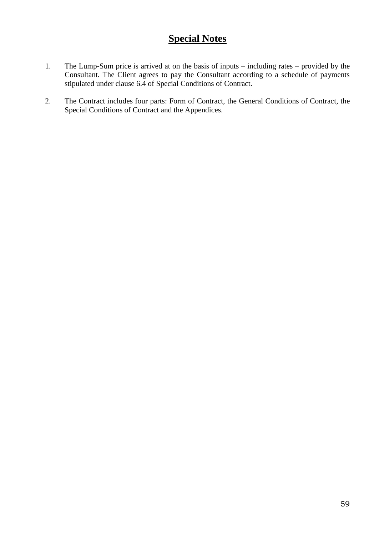# **Special Notes**

- 1. The Lump-Sum price is arrived at on the basis of inputs including rates provided by the Consultant. The Client agrees to pay the Consultant according to a schedule of payments stipulated under clause 6.4 of Special Conditions of Contract.
- 2. The Contract includes four parts: Form of Contract, the General Conditions of Contract, the Special Conditions of Contract and the Appendices.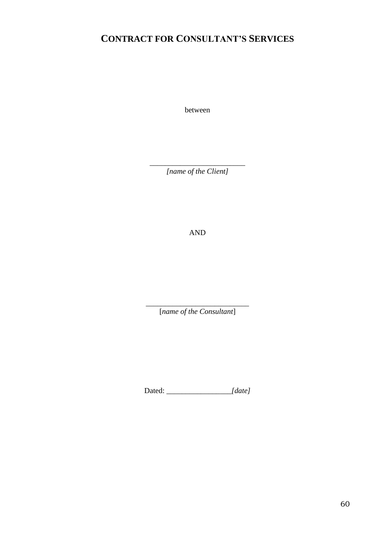# **CONTRACT FOR CONSULTANT'S SERVICES**

between

\_\_\_\_\_\_\_\_\_\_\_\_\_\_\_\_\_\_\_\_\_\_\_\_\_ *[name of the Client]*

AND

\_\_\_\_\_\_\_\_\_\_\_\_\_\_\_\_\_\_\_\_\_\_\_\_\_\_\_ [*name of the Consultant*]

Dated: *\_\_\_\_\_\_\_\_\_\_\_\_\_\_\_\_\_[date]*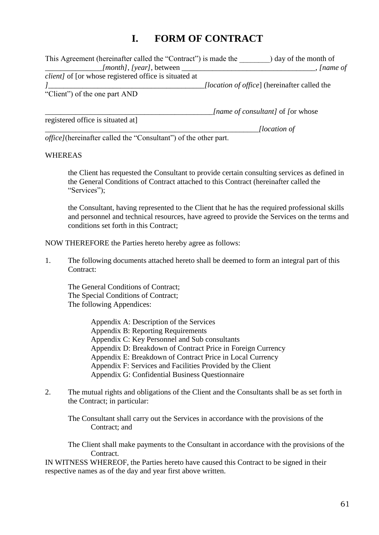# **I. FORM OF CONTRACT**

| This Agreement (hereinafter called the "Contract") is made the<br>) day of the month of |                                                     |  |
|-----------------------------------------------------------------------------------------|-----------------------------------------------------|--|
| [ <i>month</i> ], [year], between _                                                     | , <i>[name of</i>                                   |  |
| <i>client]</i> of [or whose registered office is situated at                            |                                                     |  |
|                                                                                         | <i>(location of office)</i> (hereinafter called the |  |
| "Client" of the one part AND                                                            |                                                     |  |
|                                                                                         |                                                     |  |

registered office is situated at]

\_\_\_\_\_\_\_\_\_\_\_\_\_\_\_\_\_\_\_\_\_\_\_\_\_\_\_\_\_\_\_\_\_\_\_\_\_\_\_\_\_\_\_\_*[name of consultant]* of *[*or whose

*\_\_\_\_\_\_\_\_\_\_\_\_\_\_\_\_\_\_\_\_\_\_\_\_\_\_\_\_\_\_\_\_\_\_\_\_\_\_\_\_\_\_\_\_\_\_\_\_\_\_\_\_\_\_\_\_[location of* 

*office]*(hereinafter called the "Consultant") of the other part.

## WHEREAS

the Client has requested the Consultant to provide certain consulting services as defined in the General Conditions of Contract attached to this Contract (hereinafter called the "Services");

the Consultant, having represented to the Client that he has the required professional skills and personnel and technical resources, have agreed to provide the Services on the terms and conditions set forth in this Contract;

NOW THEREFORE the Parties hereto hereby agree as follows:

1. The following documents attached hereto shall be deemed to form an integral part of this Contract:

The General Conditions of Contract; The Special Conditions of Contract; The following Appendices:

> Appendix A: Description of the Services Appendix B: Reporting Requirements Appendix C: Key Personnel and Sub consultants Appendix D: Breakdown of Contract Price in Foreign Currency Appendix E: Breakdown of Contract Price in Local Currency Appendix F: Services and Facilities Provided by the Client Appendix G: Confidential Business Questionnaire

2. The mutual rights and obligations of the Client and the Consultants shall be as set forth in the Contract; in particular:

The Consultant shall carry out the Services in accordance with the provisions of the Contract; and

The Client shall make payments to the Consultant in accordance with the provisions of the Contract.

IN WITNESS WHEREOF, the Parties hereto have caused this Contract to be signed in their respective names as of the day and year first above written.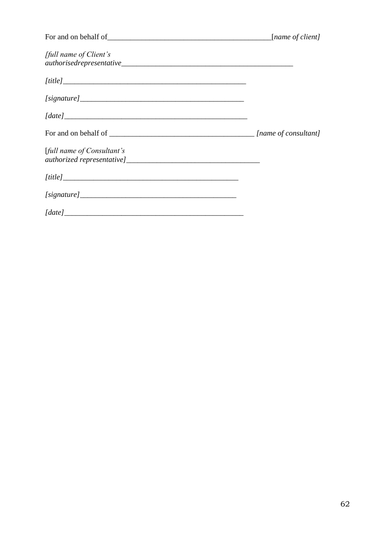|                            | [name of client] |
|----------------------------|------------------|
| [full name of Client's     |                  |
| [title]                    |                  |
|                            |                  |
| [date]                     |                  |
|                            |                  |
| [full name of Consultant's |                  |
| [title]                    |                  |
|                            |                  |
| [date]                     |                  |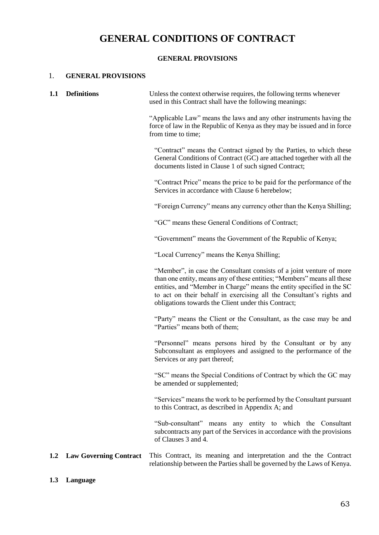# **GENERAL CONDITIONS OF CONTRACT**

# **GENERAL PROVISIONS**

## 1. **GENERAL PROVISIONS**

| 1.1 | <b>Definitions</b>            | Unless the context otherwise requires, the following terms whenever<br>used in this Contract shall have the following meanings:                                                                                                                                                                                                                         |  |
|-----|-------------------------------|---------------------------------------------------------------------------------------------------------------------------------------------------------------------------------------------------------------------------------------------------------------------------------------------------------------------------------------------------------|--|
|     |                               | "Applicable Law" means the laws and any other instruments having the<br>force of law in the Republic of Kenya as they may be issued and in force<br>from time to time;                                                                                                                                                                                  |  |
|     |                               | "Contract" means the Contract signed by the Parties, to which these<br>General Conditions of Contract (GC) are attached together with all the<br>documents listed in Clause 1 of such signed Contract;                                                                                                                                                  |  |
|     |                               | "Contract Price" means the price to be paid for the performance of the<br>Services in accordance with Clause 6 herebelow;                                                                                                                                                                                                                               |  |
|     |                               | "Foreign Currency" means any currency other than the Kenya Shilling;                                                                                                                                                                                                                                                                                    |  |
|     |                               | "GC" means these General Conditions of Contract;                                                                                                                                                                                                                                                                                                        |  |
|     |                               | "Government" means the Government of the Republic of Kenya;                                                                                                                                                                                                                                                                                             |  |
|     |                               | "Local Currency" means the Kenya Shilling;                                                                                                                                                                                                                                                                                                              |  |
|     |                               | "Member", in case the Consultant consists of a joint venture of more<br>than one entity, means any of these entities; "Members" means all these<br>entities, and "Member in Charge" means the entity specified in the SC<br>to act on their behalf in exercising all the Consultant's rights and<br>obligations towards the Client under this Contract; |  |
|     |                               | "Party" means the Client or the Consultant, as the case may be and<br>"Parties" means both of them;                                                                                                                                                                                                                                                     |  |
|     |                               | "Personnel" means persons hired by the Consultant or by any<br>Subconsultant as employees and assigned to the performance of the<br>Services or any part thereof;                                                                                                                                                                                       |  |
|     |                               | "SC" means the Special Conditions of Contract by which the GC may<br>be amended or supplemented;                                                                                                                                                                                                                                                        |  |
|     |                               | "Services" means the work to be performed by the Consultant pursuant<br>to this Contract, as described in Appendix A; and                                                                                                                                                                                                                               |  |
|     |                               | "Sub-consultant" means any entity to which the Consultant<br>subcontracts any part of the Services in accordance with the provisions<br>of Clauses 3 and 4.                                                                                                                                                                                             |  |
| 1.2 | <b>Law Governing Contract</b> | This Contract, its meaning and interpretation and the the Contract<br>relationship between the Parties shall be governed by the Laws of Kenya.                                                                                                                                                                                                          |  |

**1.3 Language**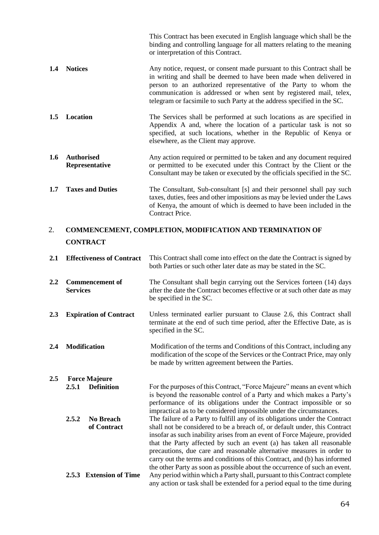This Contract has been executed in English language which shall be the binding and controlling language for all matters relating to the meaning or interpretation of this Contract.

- **1.4 Notices** Any notice, request, or consent made pursuant to this Contract shall be in writing and shall be deemed to have been made when delivered in person to an authorized representative of the Party to whom the communication is addressed or when sent by registered mail, telex, telegram or facsimile to such Party at the address specified in the SC.
- **1.5 Location** The Services shall be performed at such locations as are specified in Appendix A and, where the location of a particular task is not so specified, at such locations, whether in the Republic of Kenya or elsewhere, as the Client may approve.
- **1.6 Authorised Representative** Any action required or permitted to be taken and any document required or permitted to be executed under this Contract by the Client or the Consultant may be taken or executed by the officials specified in the SC.
- **1.7 Taxes and Duties** The Consultant, Sub-consultant [s] and their personnel shall pay such taxes, duties, fees and other impositions as may be levied under the Laws of Kenya, the amount of which is deemed to have been included in the Contract Price.

# 2. **COMMENCEMENT, COMPLETION, MODIFICATION AND TERMINATION OF CONTRACT**

| 2.1     | <b>Effectiveness of Contract</b>          | This Contract shall come into effect on the date the Contract is signed by<br>both Parties or such other later date as may be stated in the SC.                                                                                                                                                                                                                                                                                                                      |  |
|---------|-------------------------------------------|----------------------------------------------------------------------------------------------------------------------------------------------------------------------------------------------------------------------------------------------------------------------------------------------------------------------------------------------------------------------------------------------------------------------------------------------------------------------|--|
| 2.2     | <b>Commencement of</b><br><b>Services</b> | The Consultant shall begin carrying out the Services forteen (14) days<br>after the date the Contract becomes effective or at such other date as may<br>be specified in the SC.                                                                                                                                                                                                                                                                                      |  |
| 2.3     | <b>Expiration of Contract</b>             | Unless terminated earlier pursuant to Clause 2.6, this Contract shall<br>terminate at the end of such time period, after the Effective Date, as is<br>specified in the SC.                                                                                                                                                                                                                                                                                           |  |
| 2.4     | <b>Modification</b>                       | Modification of the terms and Conditions of this Contract, including any<br>modification of the scope of the Services or the Contract Price, may only<br>be made by written agreement between the Parties.                                                                                                                                                                                                                                                           |  |
| $2.5\,$ | <b>Force Majeure</b>                      |                                                                                                                                                                                                                                                                                                                                                                                                                                                                      |  |
|         | 2.5.1<br><b>Definition</b>                | For the purposes of this Contract, "Force Majeure" means an event which<br>is beyond the reasonable control of a Party and which makes a Party's<br>performance of its obligations under the Contract impossible or so<br>impractical as to be considered impossible under the circumstances.                                                                                                                                                                        |  |
|         | 2.5.2<br><b>No Breach</b>                 | The failure of a Party to fulfill any of its obligations under the Contract                                                                                                                                                                                                                                                                                                                                                                                          |  |
|         | of Contract                               | shall not be considered to be a breach of, or default under, this Contract<br>insofar as such inability arises from an event of Force Majeure, provided<br>that the Party affected by such an event (a) has taken all reasonable<br>precautions, due care and reasonable alternative measures in order to<br>carry out the terms and conditions of this Contract, and (b) has informed<br>the other Party as soon as possible about the occurrence of such an event. |  |
|         | 2.5.3 Extension of Time                   | Any period within which a Party shall, pursuant to this Contract complete<br>any action or task shall be extended for a period equal to the time during                                                                                                                                                                                                                                                                                                              |  |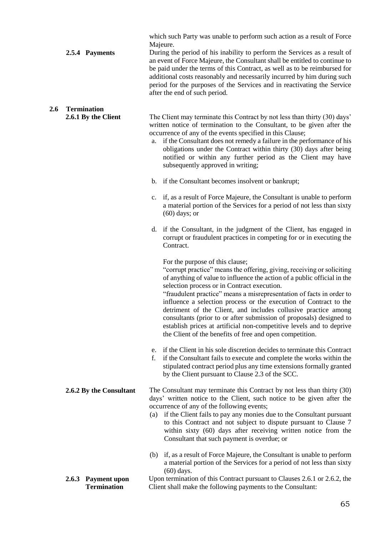|     | 2.5.4 Payments                                     | which such Party was unable to perform such action as a result of Force<br>Majeure.<br>During the period of his inability to perform the Services as a result of<br>an event of Force Majeure, the Consultant shall be entitled to continue to<br>be paid under the terms of this Contract, as well as to be reimbursed for<br>additional costs reasonably and necessarily incurred by him during such<br>period for the purposes of the Services and in reactivating the Service<br>after the end of such period.                                                                                                                                             |
|-----|----------------------------------------------------|----------------------------------------------------------------------------------------------------------------------------------------------------------------------------------------------------------------------------------------------------------------------------------------------------------------------------------------------------------------------------------------------------------------------------------------------------------------------------------------------------------------------------------------------------------------------------------------------------------------------------------------------------------------|
| 2.6 | <b>Termination</b><br>2.6.1 By the Client          | The Client may terminate this Contract by not less than thirty (30) days'<br>written notice of termination to the Consultant, to be given after the<br>occurrence of any of the events specified in this Clause;<br>if the Consultant does not remedy a failure in the performance of his<br>a.<br>obligations under the Contract within thirty (30) days after being<br>notified or within any further period as the Client may have<br>subsequently approved in writing;<br>b. if the Consultant becomes insolvent or bankrupt;                                                                                                                              |
|     |                                                    | c. if, as a result of Force Majeure, the Consultant is unable to perform<br>a material portion of the Services for a period of not less than sixty<br>$(60)$ days; or                                                                                                                                                                                                                                                                                                                                                                                                                                                                                          |
|     |                                                    | d. if the Consultant, in the judgment of the Client, has engaged in<br>corrupt or fraudulent practices in competing for or in executing the<br>Contract.                                                                                                                                                                                                                                                                                                                                                                                                                                                                                                       |
|     |                                                    | For the purpose of this clause;<br>"corrupt practice" means the offering, giving, receiving or soliciting<br>of anything of value to influence the action of a public official in the<br>selection process or in Contract execution.<br>"fraudulent practice" means a misrepresentation of facts in order to<br>influence a selection process or the execution of Contract to the<br>detriment of the Client, and includes collusive practice among<br>consultants (prior to or after submission of proposals) designed to<br>establish prices at artificial non-competitive levels and to deprive<br>the Client of the benefits of free and open competition. |
|     |                                                    | e. if the Client in his sole discretion decides to terminate this Contract<br>if the Consultant fails to execute and complete the works within the<br>f.<br>stipulated contract period plus any time extensions formally granted<br>by the Client pursuant to Clause 2.3 of the SCC.                                                                                                                                                                                                                                                                                                                                                                           |
|     | 2.6.2 By the Consultant                            | The Consultant may terminate this Contract by not less than thirty (30)<br>days' written notice to the Client, such notice to be given after the<br>occurrence of any of the following events;<br>(a) if the Client fails to pay any monies due to the Consultant pursuant<br>to this Contract and not subject to dispute pursuant to Clause 7<br>within sixty (60) days after receiving written notice from the<br>Consultant that such payment is overdue; or                                                                                                                                                                                                |
|     |                                                    | if, as a result of Force Majeure, the Consultant is unable to perform<br>(b)<br>a material portion of the Services for a period of not less than sixty<br>$(60)$ days.                                                                                                                                                                                                                                                                                                                                                                                                                                                                                         |
|     | 2.6.3<br><b>Payment upon</b><br><b>Termination</b> | Upon termination of this Contract pursuant to Clauses 2.6.1 or 2.6.2, the<br>Client shall make the following payments to the Consultant:                                                                                                                                                                                                                                                                                                                                                                                                                                                                                                                       |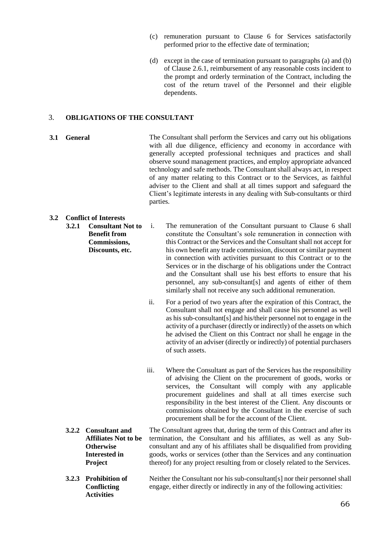- (c) remuneration pursuant to Clause 6 for Services satisfactorily performed prior to the effective date of termination;
- (d) except in the case of termination pursuant to paragraphs (a) and (b) of Clause 2.6.1, reimbursement of any reasonable costs incident to the prompt and orderly termination of the Contract, including the cost of the return travel of the Personnel and their eligible dependents.

#### 3. **OBLIGATIONS OF THE CONSULTANT**

**3.1 General The Consultant shall perform the Services and carry out his obligations** with all due diligence, efficiency and economy in accordance with generally accepted professional techniques and practices and shall observe sound management practices, and employ appropriate advanced technology and safe methods. The Consultant shall always act, in respect of any matter relating to this Contract or to the Services, as faithful adviser to the Client and shall at all times support and safeguard the Client's legitimate interests in any dealing with Sub-consultants or third parties.

#### **3.2 Conflict of Interests**

- **3.2.1 Consultant Not to Benefit from Commissions, Discounts, etc.** 
	- i. The remuneration of the Consultant pursuant to Clause 6 shall constitute the Consultant's sole remuneration in connection with this Contract or the Services and the Consultant shall not accept for his own benefit any trade commission, discount or similar payment in connection with activities pursuant to this Contract or to the Services or in the discharge of his obligations under the Contract and the Consultant shall use his best efforts to ensure that his personnel, any sub-consultant[s] and agents of either of them similarly shall not receive any such additional remuneration.
	- ii. For a period of two years after the expiration of this Contract, the Consultant shall not engage and shall cause his personnel as well as his sub-consultant[s] and his/their personnel not to engage in the activity of a purchaser (directly or indirectly) of the assets on which he advised the Client on this Contract nor shall he engage in the activity of an adviser (directly or indirectly) of potential purchasers of such assets.
	- iii. Where the Consultant as part of the Services has the responsibility of advising the Client on the procurement of goods, works or services, the Consultant will comply with any applicable procurement guidelines and shall at all times exercise such responsibility in the best interest of the Client. Any discounts or commissions obtained by the Consultant in the exercise of such procurement shall be for the account of the Client.
- **3.2.2 Consultant and Affiliates Not to be Otherwise Interested in Project** The Consultant agrees that, during the term of this Contract and after its termination, the Consultant and his affiliates, as well as any Subconsultant and any of his affiliates shall be disqualified from providing goods, works or services (other than the Services and any continuation thereof) for any project resulting from or closely related to the Services.
- **3.2.3 Prohibition of Conflicting Activities** Neither the Consultant nor his sub-consultant[s] nor their personnel shall engage, either directly or indirectly in any of the following activities: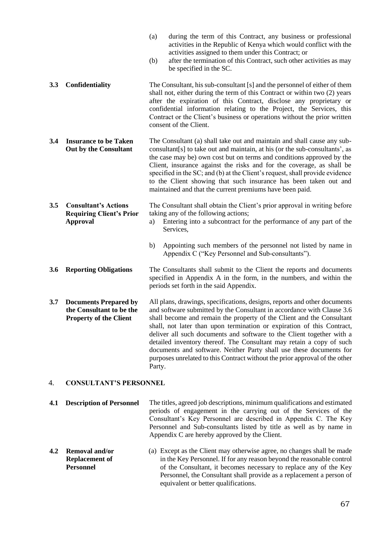- (a) during the term of this Contract, any business or professional activities in the Republic of Kenya which would conflict with the activities assigned to them under this Contract; or
- (b) after the termination of this Contract, such other activities as may be specified in the SC.
- **3.3 Confidentiality** The Consultant, his sub-consultant [s] and the personnel of either of them shall not, either during the term of this Contract or within two (2) years after the expiration of this Contract, disclose any proprietary or confidential information relating to the Project, the Services, this Contract or the Client's business or operations without the prior written consent of the Client.
- **3.4 Insurance to be Taken Out by the Consultant** The Consultant (a) shall take out and maintain and shall cause any subconsultant[s] to take out and maintain, at his (or the sub-consultants', as the case may be) own cost but on terms and conditions approved by the Client, insurance against the risks and for the coverage, as shall be specified in the SC; and (b) at the Client's request, shall provide evidence to the Client showing that such insurance has been taken out and maintained and that the current premiums have been paid.
- **3.5 Consultant's Actions Requiring Client's Prior Approval** The Consultant shall obtain the Client's prior approval in writing before taking any of the following actions;
	- a) Entering into a subcontract for the performance of any part of the Services,
	- b) Appointing such members of the personnel not listed by name in Appendix C ("Key Personnel and Sub-consultants").
- **3.6 Reporting Obligations** The Consultants shall submit to the Client the reports and documents specified in Appendix A in the form, in the numbers, and within the periods set forth in the said Appendix.
- **3.7 Documents Prepared by the Consultant to be the Property of the Client** All plans, drawings, specifications, designs, reports and other documents and software submitted by the Consultant in accordance with Clause 3.6 shall become and remain the property of the Client and the Consultant shall, not later than upon termination or expiration of this Contract, deliver all such documents and software to the Client together with a detailed inventory thereof. The Consultant may retain a copy of such documents and software. Neither Party shall use these documents for purposes unrelated to this Contract without the prior approval of the other Party.

#### 4. **CONSULTANT'S PERSONNEL**

- **4.1 Description of Personnel** The titles, agreed job descriptions, minimum qualifications and estimated periods of engagement in the carrying out of the Services of the Consultant's Key Personnel are described in Appendix C. The Key Personnel and Sub-consultants listed by title as well as by name in Appendix C are hereby approved by the Client.
- **4.2 Removal and/or Replacement of Personnel** (a) Except as the Client may otherwise agree, no changes shall be made in the Key Personnel. If for any reason beyond the reasonable control of the Consultant, it becomes necessary to replace any of the Key Personnel, the Consultant shall provide as a replacement a person of equivalent or better qualifications.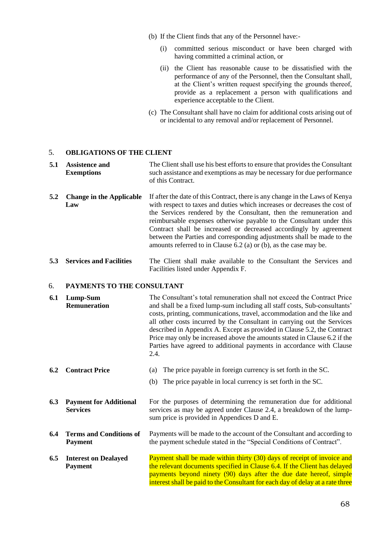- (b) If the Client finds that any of the Personnel have:-
	- (i) committed serious misconduct or have been charged with having committed a criminal action, or
	- (ii) the Client has reasonable cause to be dissatisfied with the performance of any of the Personnel, then the Consultant shall, at the Client's written request specifying the grounds thereof, provide as a replacement a person with qualifications and experience acceptable to the Client.
- (c) The Consultant shall have no claim for additional costs arising out of or incidental to any removal and/or replacement of Personnel.

#### 5. **OBLIGATIONS OF THE CLIENT**

| 5.1 Assistence and | The Client shall use his best efforts to ensure that provides the Consultant |
|--------------------|------------------------------------------------------------------------------|
| <b>Exemptions</b>  | such assistance and exemptions as may be necessary for due performance       |
|                    | of this Contract.                                                            |

- **5.2 Change in the Applicable Law** If after the date of this Contract, there is any change in the Laws of Kenya with respect to taxes and duties which increases or decreases the cost of the Services rendered by the Consultant, then the remuneration and reimbursable expenses otherwise payable to the Consultant under this Contract shall be increased or decreased accordingly by agreement between the Parties and corresponding adjustments shall be made to the amounts referred to in Clause 6.2 (a) or (b), as the case may be.
- **5.3 Services and Facilities** The Client shall make available to the Consultant the Services and Facilities listed under Appendix F.

#### 6. **PAYMENTS TO THE CONSULTANT**

| 6.1 | Lump-Sum<br><b>Remuneration</b>                  | The Consultant's total remuneration shall not exceed the Contract Price<br>and shall be a fixed lump-sum including all staff costs, Sub-consultants'<br>costs, printing, communications, travel, accommodation and the like and<br>all other costs incurred by the Consultant in carrying out the Services<br>described in Appendix A. Except as provided in Clause 5.2, the Contract<br>Price may only be increased above the amounts stated in Clause 6.2 if the<br>Parties have agreed to additional payments in accordance with Clause<br>2.4. |  |
|-----|--------------------------------------------------|----------------------------------------------------------------------------------------------------------------------------------------------------------------------------------------------------------------------------------------------------------------------------------------------------------------------------------------------------------------------------------------------------------------------------------------------------------------------------------------------------------------------------------------------------|--|
| 6.2 | <b>Contract Price</b>                            | The price payable in foreign currency is set forth in the SC.<br>(a)<br>The price payable in local currency is set forth in the SC.<br>(b)                                                                                                                                                                                                                                                                                                                                                                                                         |  |
| 6.3 | <b>Payment for Additional</b><br><b>Services</b> | For the purposes of determining the remuneration due for additional<br>services as may be agreed under Clause 2.4, a breakdown of the lump-<br>sum price is provided in Appendices D and E.                                                                                                                                                                                                                                                                                                                                                        |  |
| 6.4 | <b>Terms and Conditions of</b><br><b>Payment</b> | Payments will be made to the account of the Consultant and according to<br>the payment schedule stated in the "Special Conditions of Contract".                                                                                                                                                                                                                                                                                                                                                                                                    |  |
| 6.5 | <b>Interest on Dealayed</b><br><b>Payment</b>    | Payment shall be made within thirty (30) days of receipt of invoice and<br>the relevant documents specified in Clause 6.4. If the Client has delayed<br>payments beyond ninety (90) days after the due date hereof, simple<br>interest shall be paid to the Consultant for each day of delay at a rate three                                                                                                                                                                                                                                       |  |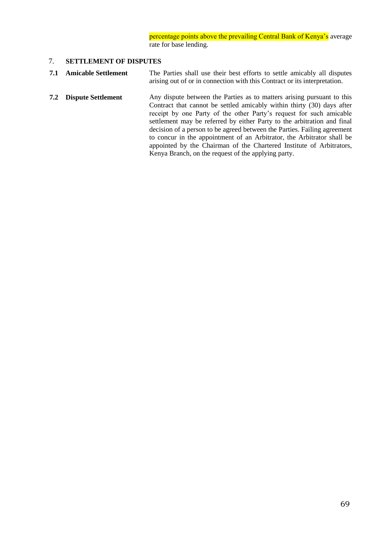percentage points above the prevailing Central Bank of Kenya's average rate for base lending.

#### 7. **SETTLEMENT OF DISPUTES**

- **7.1 Amicable Settlement** The Parties shall use their best efforts to settle amicably all disputes arising out of or in connection with this Contract or its interpretation.
- **7.2 Dispute Settlement** Any dispute between the Parties as to matters arising pursuant to this Contract that cannot be settled amicably within thirty (30) days after receipt by one Party of the other Party's request for such amicable settlement may be referred by either Party to the arbitration and final decision of a person to be agreed between the Parties. Failing agreement to concur in the appointment of an Arbitrator, the Arbitrator shall be appointed by the Chairman of the Chartered Institute of Arbitrators, Kenya Branch, on the request of the applying party.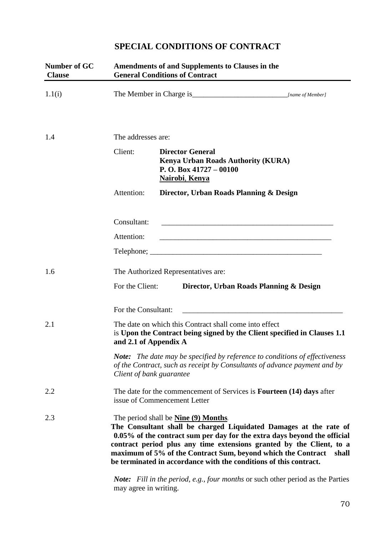# **SPECIAL CONDITIONS OF CONTRACT**

| Number of GC<br><b>Clause</b> | <b>Amendments of and Supplements to Clauses in the</b><br><b>General Conditions of Contract</b>                                                                                                                                                                                                                                                                                                                     |                                                                                                                                                                 |  |  |
|-------------------------------|---------------------------------------------------------------------------------------------------------------------------------------------------------------------------------------------------------------------------------------------------------------------------------------------------------------------------------------------------------------------------------------------------------------------|-----------------------------------------------------------------------------------------------------------------------------------------------------------------|--|--|
| 1.1(i)                        |                                                                                                                                                                                                                                                                                                                                                                                                                     |                                                                                                                                                                 |  |  |
| 1.4                           | The addresses are:                                                                                                                                                                                                                                                                                                                                                                                                  |                                                                                                                                                                 |  |  |
|                               | Client:                                                                                                                                                                                                                                                                                                                                                                                                             | <b>Director General</b><br><b>Kenya Urban Roads Authority (KURA)</b><br>P. O. Box $41727 - 00100$<br><b>Nairobi</b> , Kenya                                     |  |  |
|                               | Attention:                                                                                                                                                                                                                                                                                                                                                                                                          | Director, Urban Roads Planning & Design                                                                                                                         |  |  |
|                               | Consultant:                                                                                                                                                                                                                                                                                                                                                                                                         | <u> 1980 - Johann Barn, mars an t-Amerikaansk politiker (* 1918)</u>                                                                                            |  |  |
|                               | Attention:                                                                                                                                                                                                                                                                                                                                                                                                          |                                                                                                                                                                 |  |  |
|                               |                                                                                                                                                                                                                                                                                                                                                                                                                     |                                                                                                                                                                 |  |  |
| 1.6                           | The Authorized Representatives are:                                                                                                                                                                                                                                                                                                                                                                                 |                                                                                                                                                                 |  |  |
|                               | For the Client:                                                                                                                                                                                                                                                                                                                                                                                                     | Director, Urban Roads Planning & Design                                                                                                                         |  |  |
|                               | For the Consultant:                                                                                                                                                                                                                                                                                                                                                                                                 |                                                                                                                                                                 |  |  |
| 2.1                           |                                                                                                                                                                                                                                                                                                                                                                                                                     | The date on which this Contract shall come into effect<br>is Upon the Contract being signed by the Client specified in Clauses 1.1<br>and 2.1 of Appendix A     |  |  |
|                               | Client of bank guarantee                                                                                                                                                                                                                                                                                                                                                                                            | <b>Note:</b> The date may be specified by reference to conditions of effectiveness<br>of the Contract, such as receipt by Consultants of advance payment and by |  |  |
| 2.2                           | The date for the commencement of Services is <b>Fourteen</b> (14) days after<br>issue of Commencement Letter                                                                                                                                                                                                                                                                                                        |                                                                                                                                                                 |  |  |
| 2.3                           | The period shall be <b>Nine (9) Months</b> .<br>The Consultant shall be charged Liquidated Damages at the rate of<br>0.05% of the contract sum per day for the extra days beyond the official<br>contract period plus any time extensions granted by the Client, to a<br>maximum of 5% of the Contract Sum, beyond which the Contract<br>shall<br>be terminated in accordance with the conditions of this contract. |                                                                                                                                                                 |  |  |
|                               | may agree in writing.                                                                                                                                                                                                                                                                                                                                                                                               | <b>Note:</b> Fill in the period, e.g., four months or such other period as the Parties                                                                          |  |  |

70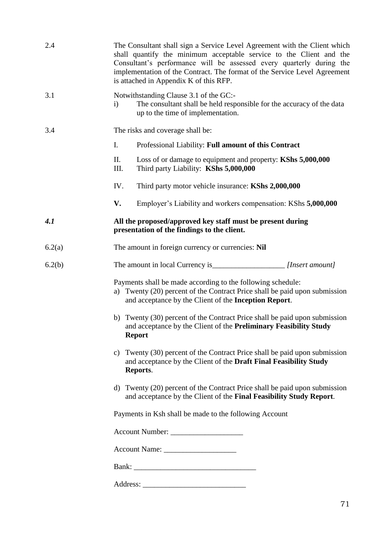| 2.4    | The Consultant shall sign a Service Level Agreement with the Client which<br>shall quantify the minimum acceptable service to the Client and the<br>Consultant's performance will be assessed every quarterly during the<br>implementation of the Contract. The format of the Service Level Agreement<br>is attached in Appendix K of this RFP. |
|--------|-------------------------------------------------------------------------------------------------------------------------------------------------------------------------------------------------------------------------------------------------------------------------------------------------------------------------------------------------|
| 3.1    | Notwithstanding Clause 3.1 of the GC:-<br>The consultant shall be held responsible for the accuracy of the data<br>$\mathbf{i}$<br>up to the time of implementation.                                                                                                                                                                            |
| 3.4    | The risks and coverage shall be:                                                                                                                                                                                                                                                                                                                |
|        | $I_{\cdot}$<br>Professional Liability: Full amount of this Contract                                                                                                                                                                                                                                                                             |
|        | П.<br>Loss of or damage to equipment and property: KShs 5,000,000<br>Third party Liability: KShs 5,000,000<br>III.                                                                                                                                                                                                                              |
|        | IV.<br>Third party motor vehicle insurance: KShs 2,000,000                                                                                                                                                                                                                                                                                      |
|        | V.<br>Employer's Liability and workers compensation: KShs 5,000,000                                                                                                                                                                                                                                                                             |
| 4.1    | All the proposed/approved key staff must be present during<br>presentation of the findings to the client.                                                                                                                                                                                                                                       |
| 6.2(a) | The amount in foreign currency or currencies: Nil                                                                                                                                                                                                                                                                                               |
| 6.2(b) |                                                                                                                                                                                                                                                                                                                                                 |
|        | Payments shall be made according to the following schedule:<br>a) Twenty (20) percent of the Contract Price shall be paid upon submission<br>and acceptance by the Client of the Inception Report.                                                                                                                                              |
|        | b) Twenty (30) percent of the Contract Price shall be paid upon submission<br>and acceptance by the Client of the Preliminary Feasibility Study<br><b>Report</b>                                                                                                                                                                                |
|        | c) Twenty (30) percent of the Contract Price shall be paid upon submission<br>and acceptance by the Client of the Draft Final Feasibility Study<br>Reports.                                                                                                                                                                                     |
|        | d) Twenty (20) percent of the Contract Price shall be paid upon submission<br>and acceptance by the Client of the Final Feasibility Study Report.                                                                                                                                                                                               |
|        | Payments in Ksh shall be made to the following Account                                                                                                                                                                                                                                                                                          |
|        | Account Number:                                                                                                                                                                                                                                                                                                                                 |
|        |                                                                                                                                                                                                                                                                                                                                                 |
|        |                                                                                                                                                                                                                                                                                                                                                 |
|        |                                                                                                                                                                                                                                                                                                                                                 |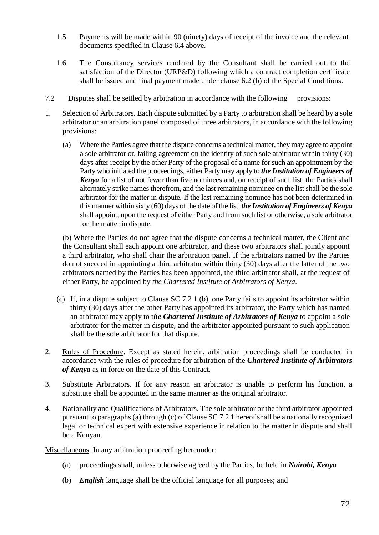- 1.5 Payments will be made within 90 (ninety) days of receipt of the invoice and the relevant documents specified in Clause 6.4 above.
- 1.6 The Consultancy services rendered by the Consultant shall be carried out to the satisfaction of the Director (URP&D) following which a contract completion certificate shall be issued and final payment made under clause 6.2 (b) of the Special Conditions.
- 7.2 Disputes shall be settled by arbitration in accordance with the following provisions:
- 1. Selection of Arbitrators. Each dispute submitted by a Party to arbitration shall be heard by a sole arbitrator or an arbitration panel composed of three arbitrators, in accordance with the following provisions:
	- (a) Where the Parties agree that the dispute concerns a technical matter, they may agree to appoint a sole arbitrator or, failing agreement on the identity of such sole arbitrator within thirty (30) days after receipt by the other Party of the proposal of a name for such an appointment by the Party who initiated the proceedings, either Party may apply to *the Institution of Engineers of Kenya* for a list of not fewer than five nominees and, on receipt of such list, the Parties shall alternately strike names therefrom, and the last remaining nominee on the list shall be the sole arbitrator for the matter in dispute. If the last remaining nominee has not been determined in this manner within sixty (60) days of the date of the list, *the Institution of Engineers of Kenya* shall appoint, upon the request of either Party and from such list or otherwise, a sole arbitrator for the matter in dispute.

(b) Where the Parties do not agree that the dispute concerns a technical matter, the Client and the Consultant shall each appoint one arbitrator, and these two arbitrators shall jointly appoint a third arbitrator, who shall chair the arbitration panel. If the arbitrators named by the Parties do not succeed in appointing a third arbitrator within thirty (30) days after the latter of the two arbitrators named by the Parties has been appointed, the third arbitrator shall, at the request of either Party, be appointed by *the Chartered Institute of Arbitrators of Kenya.*

- (c) If, in a dispute subject to Clause SC 7.2 1.(b), one Party fails to appoint its arbitrator within thirty (30) days after the other Party has appointed its arbitrator, the Party which has named an arbitrator may apply to t*he Chartered Institute of Arbitrators of Kenya* to appoint a sole arbitrator for the matter in dispute, and the arbitrator appointed pursuant to such application shall be the sole arbitrator for that dispute.
- 2. Rules of Procedure. Except as stated herein, arbitration proceedings shall be conducted in accordance with the rules of procedure for arbitration of the *Chartered Institute of Arbitrators of Kenya* as in force on the date of this Contract.
- 3. Substitute Arbitrators. If for any reason an arbitrator is unable to perform his function, a substitute shall be appointed in the same manner as the original arbitrator.
- 4. Nationality and Qualifications of Arbitrators. The sole arbitrator or the third arbitrator appointed pursuant to paragraphs (a) through (c) of Clause SC 7.2 1 hereof shall be a nationally recognized legal or technical expert with extensive experience in relation to the matter in dispute and shall be a Kenyan.

Miscellaneous. In any arbitration proceeding hereunder:

- (a) proceedings shall, unless otherwise agreed by the Parties, be held in *Nairobi, Kenya*
- (b) *English* language shall be the official language for all purposes; and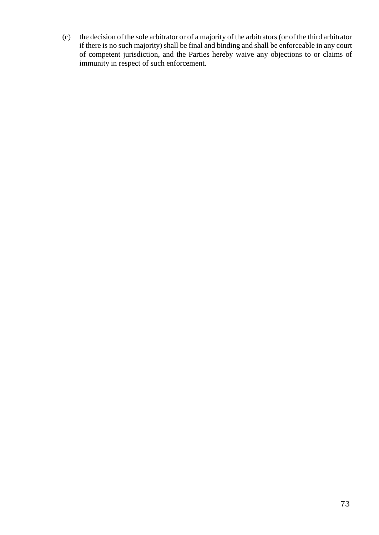(c) the decision of the sole arbitrator or of a majority of the arbitrators (or of the third arbitrator if there is no such majority) shall be final and binding and shall be enforceable in any court of competent jurisdiction, and the Parties hereby waive any objections to or claims of immunity in respect of such enforcement.